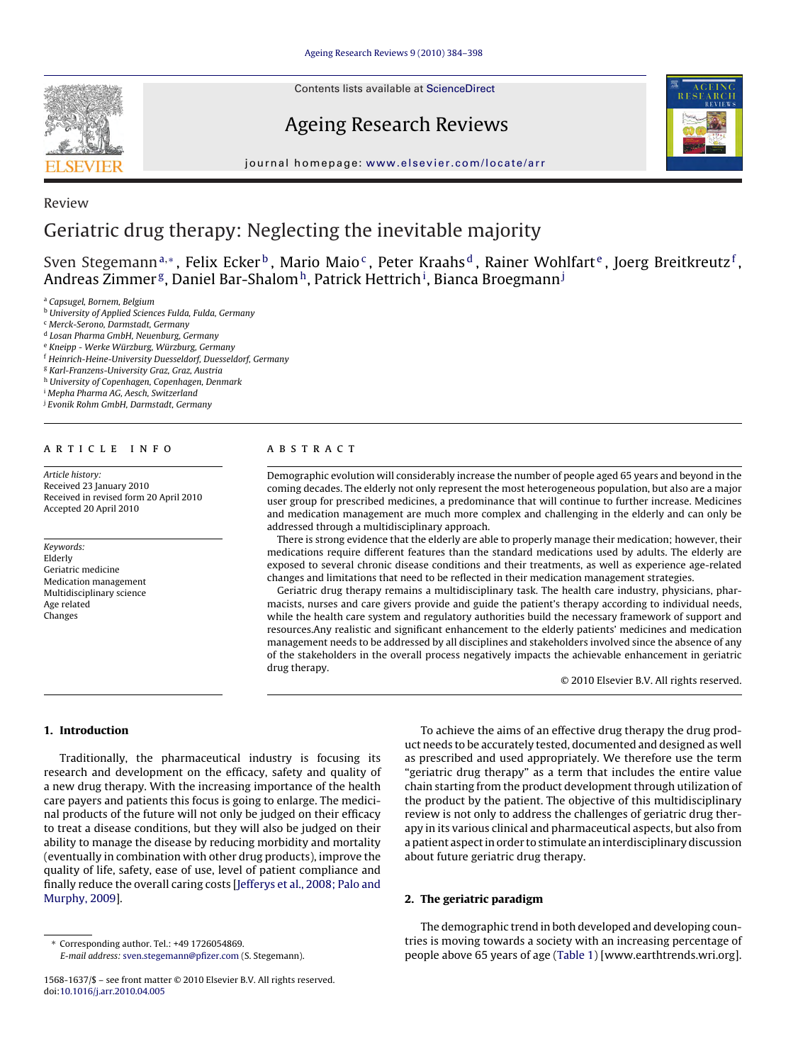Contents lists available at [ScienceDirect](http://www.sciencedirect.com/science/journal/15681637)

# Ageing Research Reviews



journal homepage: [www.elsevier.com/locate/arr](http://www.elsevier.com/locate/arr)

# Review Geriatric drug therapy: Neglecting the inevitable majority

Sven Stegemann<sup>a,</sup>\*, Felix Ecker<sup>b</sup>, Mario Maio<sup>c</sup>, Peter Kraahs<sup>d</sup>, Rainer Wohlfart<sup>e</sup>, Joerg Breitkreutz<sup>f</sup>, Andreas Zimmer<sup>g</sup>, Daniel Bar-Shalom<sup>h</sup>, Patrick Hettrich<sup>i</sup>, Bianca Broegmann<sup>j</sup>

<sup>a</sup> Capsugel, Bornem, Belgium

- <sup>b</sup> University of Applied Sciences Fulda, Fulda, Germany
- <sup>c</sup> Merck-Serono, Darmstadt, Germany
- <sup>d</sup> Losan Pharma GmbH, Neuenburg, Germany
- <sup>e</sup> Kneipp Werke Würzburg, Würzburg, Germany
- <sup>f</sup> Heinrich-Heine-University Duesseldorf, Duesseldorf, Germany
- <sup>g</sup> Karl-Franzens-University Graz, Graz, Austria
- h University of Copenhagen, Copenhagen, Denmark

<sup>i</sup> Mepha Pharma AG, Aesch, Switzerland

<sup>j</sup> Evonik Rohm GmbH, Darmstadt, Germany

#### article info

Article history: Received 23 January 2010 Received in revised form 20 April 2010 Accepted 20 April 2010

#### Keywords: Elderly Geriatric medicine Medication management Multidisciplinary science Age related Changes

## **ABSTRACT**

Demographic evolution will considerably increase the number of people aged 65 years and beyond in the coming decades. The elderly not only represent the most heterogeneous population, but also are a major user group for prescribed medicines, a predominance that will continue to further increase. Medicines and medication management are much more complex and challenging in the elderly and can only be addressed through a multidisciplinary approach.

There is strong evidence that the elderly are able to properly manage their medication; however, their medications require different features than the standard medications used by adults. The elderly are exposed to several chronic disease conditions and their treatments, as well as experience age-related changes and limitations that need to be reflected in their medication management strategies.

Geriatric drug therapy remains a multidisciplinary task. The health care industry, physicians, pharmacists, nurses and care givers provide and guide the patient's therapy according to individual needs, while the health care system and regulatory authorities build the necessary framework of support and resources.Any realistic and significant enhancement to the elderly patients' medicines and medication management needs to be addressed by all disciplines and stakeholders involved since the absence of any of the stakeholders in the overall process negatively impacts the achievable enhancement in geriatric drug therapy.

© 2010 Elsevier B.V. All rights reserved.

# **1. Introduction**

Traditionally, the pharmaceutical industry is focusing its research and development on the efficacy, safety and quality of a new drug therapy. With the increasing importance of the health care payers and patients this focus is going to enlarge. The medicinal products of the future will not only be judged on their efficacy to treat a disease conditions, but they will also be judged on their ability to manage the disease by reducing morbidity and mortality (eventually in combination with other drug products), improve the quality of life, safety, ease of use, level of patient compliance and finally reduce the overall caring costs [\[Jefferys et al., 2008; Palo and](#page-13-0) [Murphy, 2009\].](#page-13-0)

To achieve the aims of an effective drug therapy the drug product needs to be accurately tested, documented and designed as well as prescribed and used appropriately. We therefore use the term "geriatric drug therapy" as a term that includes the entire value chain starting from the product development through utilization of the product by the patient. The objective of this multidisciplinary review is not only to address the challenges of geriatric drug therapy in its various clinical and pharmaceutical aspects, but also from a patient aspect in order to stimulate an interdisciplinary discussion about future geriatric drug therapy.

## **2. The geriatric paradigm**

The demographic trend in both developed and developing countries is moving towards a society with an increasing percentage of people above 65 years of age [\(Table 1\)](#page-1-0) [www.earthtrends.wri.org].



<sup>∗</sup> Corresponding author. Tel.: +49 1726054869. E-mail address: [sven.stegemann@pfizer.com](mailto:sven.stegemann@pfizer.com) (S. Stegemann).

<sup>1568-1637/\$ –</sup> see front matter © 2010 Elsevier B.V. All rights reserved. doi:[10.1016/j.arr.2010.04.005](dx.doi.org/10.1016/j.arr.2010.04.005)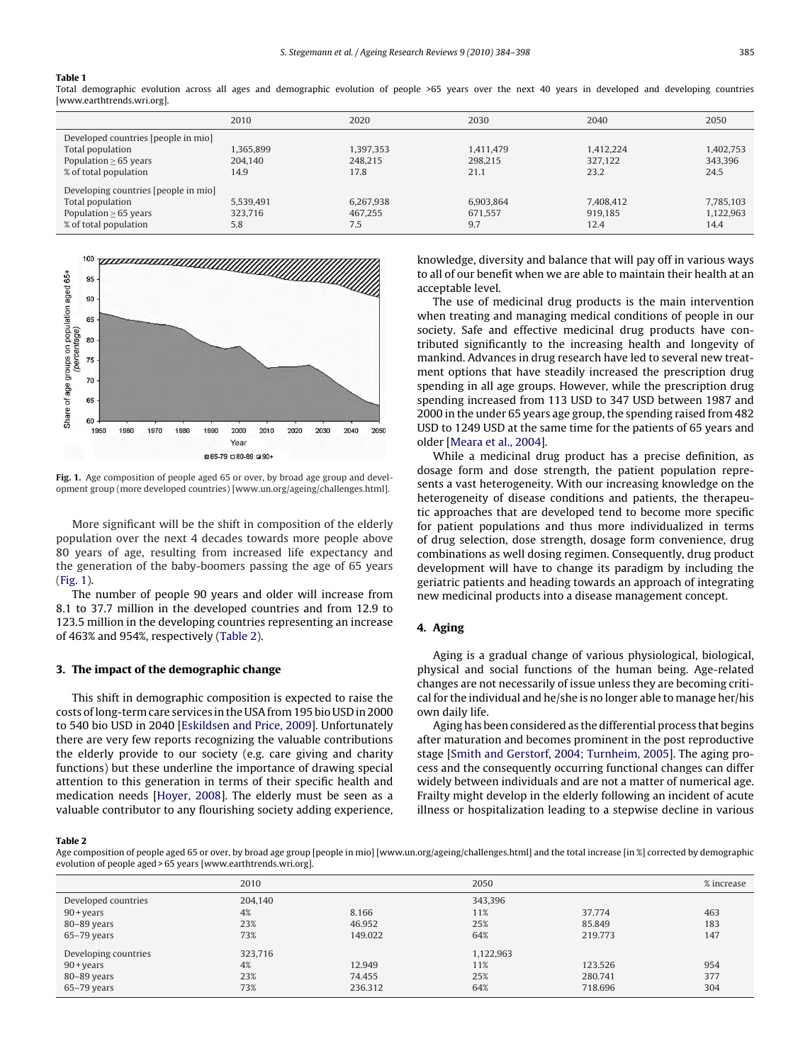#### <span id="page-1-0"></span>**Table 1**

Total demographic evolution across all ages and demographic evolution of people >65 years over the next 40 years in developed and developing countries [www.earthtrends.wri.org].

|                                                                                                                | 2010                         | 2020                         | 2030                         | 2040                         | 2050                           |
|----------------------------------------------------------------------------------------------------------------|------------------------------|------------------------------|------------------------------|------------------------------|--------------------------------|
| Developed countries (people in mio)<br>Total population<br>Population $\geq$ 65 years<br>% of total population | 1.365.899<br>204,140<br>14.9 | 1.397.353<br>248.215<br>17.8 | 1,411,479<br>298.215<br>21.1 | 1.412.224<br>327.122<br>23.2 | 1,402,753<br>343,396<br>24.5   |
| Developing countries [people in mio]<br>Total population<br>Population $> 65$ years<br>% of total population   | 5.539.491<br>323.716<br>5.8  | 6.267.938<br>467.255<br>7.5  | 6.903.864<br>671.557<br>9.7  | 7.408.412<br>919.185<br>12.4 | 7.785.103<br>1,122,963<br>14.4 |



**Fig. 1.** Age composition of people aged 65 or over, by broad age group and development group (more developed countries) [www.un.org/ageing/challenges.html].

More significant will be the shift in composition of the elderly population over the next 4 decades towards more people above 80 years of age, resulting from increased life expectancy and the generation of the baby-boomers passing the age of 65 years (Fig. 1).

The number of people 90 years and older will increase from 8.1 to 37.7 million in the developed countries and from 12.9 to 123.5 million in the developing countries representing an increase of 463% and 954%, respectively (Table 2).

# **3. The impact of the demographic change**

This shift in demographic composition is expected to raise the costs of long-term care services in the USA from 195 bio USD in 2000 to 540 bio USD in 2040 [[Eskildsen and Price, 2009\].](#page-12-0) Unfortunately there are very few reports recognizing the valuable contributions the elderly provide to our society (e.g. care giving and charity functions) but these underline the importance of drawing special attention to this generation in terms of their specific health and medication needs [\[Hoyer, 2008\].](#page-13-0) The elderly must be seen as a valuable contributor to any flourishing society adding experience, knowledge, diversity and balance that will pay off in various ways to all of our benefit when we are able to maintain their health at an acceptable level.

The use of medicinal drug products is the main intervention when treating and managing medical conditions of people in our society. Safe and effective medicinal drug products have contributed significantly to the increasing health and longevity of mankind. Advances in drug research have led to several new treatment options that have steadily increased the prescription drug spending in all age groups. However, while the prescription drug spending increased from 113 USD to 347 USD between 1987 and 2000 in the under 65 years age group, the spending raised from 482 USD to 1249 USD at the same time for the patients of 65 years and older [\[Meara et al., 2004\].](#page-13-0)

While a medicinal drug product has a precise definition, as dosage form and dose strength, the patient population represents a vast heterogeneity. With our increasing knowledge on the heterogeneity of disease conditions and patients, the therapeutic approaches that are developed tend to become more specific for patient populations and thus more individualized in terms of drug selection, dose strength, dosage form convenience, drug combinations as well dosing regimen. Consequently, drug product development will have to change its paradigm by including the geriatric patients and heading towards an approach of integrating new medicinal products into a disease management concept.

## **4. Aging**

Aging is a gradual change of various physiological, biological, physical and social functions of the human being. Age-related changes are not necessarily of issue unless they are becoming critical for the individual and he/she is no longer able to manage her/his own daily life.

Aging has been considered as the differential process that begins after maturation and becomes prominent in the post reproductive stage [[Smith and Gerstorf, 2004; Turnheim, 2005\].](#page-13-0) The aging process and the consequently occurring functional changes can differ widely between individuals and are not a matter of numerical age. Frailty might develop in the elderly following an incident of acute illness or hospitalization leading to a stepwise decline in various

**Table 2**

Age composition of people aged 65 or over, by broad age group [people in mio] [www.un.org/ageing/challenges.html] and the total increase [in %] corrected by demographic evolution of people aged > 65 years [www.earthtrends.wri.org].

|                                     | 2010          |         | 2050           |         | % increase |
|-------------------------------------|---------------|---------|----------------|---------|------------|
| Developed countries<br>$90 + years$ | 204,140<br>4% | 8.166   | 343,396<br>11% | 37.774  | 463        |
| 80-89 years                         | 23%           | 46.952  | 25%            | 85.849  | 183        |
| $65-79$ years                       | 73%           | 149.022 | 64%            | 219.773 | 147        |
| Developing countries                | 323,716       |         | 1.122.963      |         |            |
| $90 + years$                        | 4%            | 12.949  | 11%            | 123.526 | 954        |
| 80-89 years                         | 23%           | 74.455  | 25%            | 280.741 | 377        |
| $65-79$ years                       | 73%           | 236.312 | 64%            | 718.696 | 304        |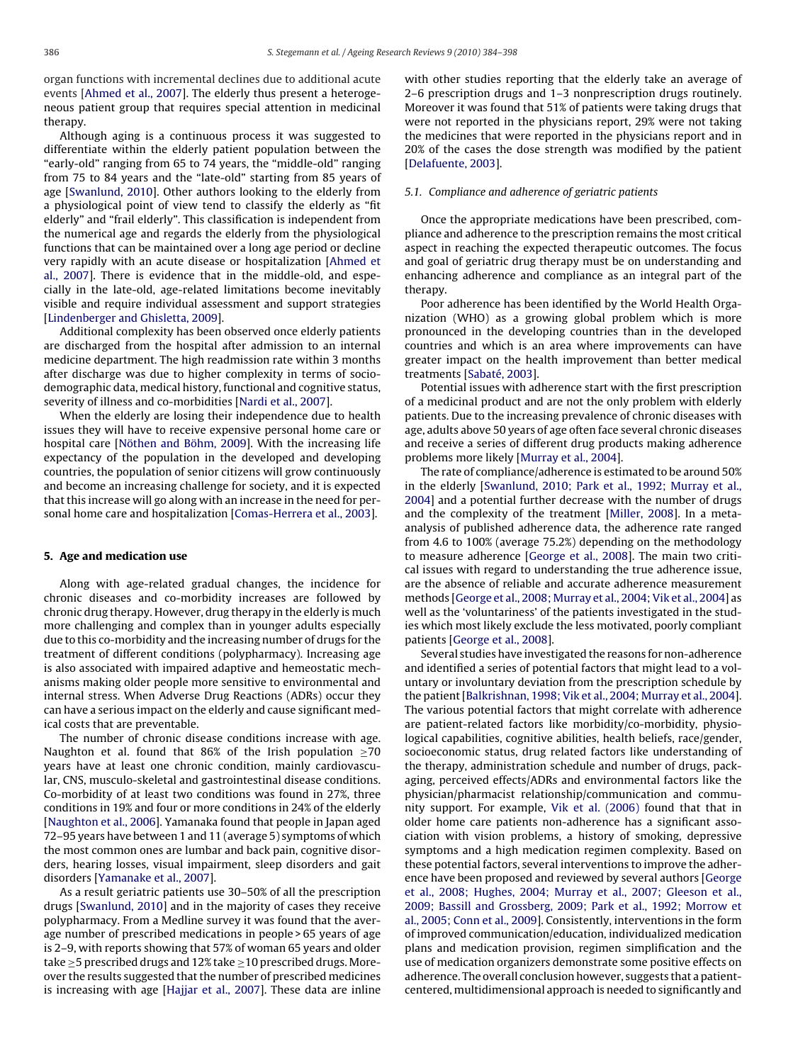organ functions with incremental declines due to additional acute events [\[Ahmed et al., 2007\].](#page-12-0) The elderly thus present a heterogeneous patient group that requires special attention in medicinal therapy.

Although aging is a continuous process it was suggested to differentiate within the elderly patient population between the "early-old" ranging from 65 to 74 years, the "middle-old" ranging from 75 to 84 years and the "late-old" starting from 85 years of age [[Swanlund, 2010\].](#page-13-0) Other authors looking to the elderly from a physiological point of view tend to classify the elderly as "fit elderly" and "frail elderly". This classification is independent from the numerical age and regards the elderly from the physiological functions that can be maintained over a long age period or decline very rapidly with an acute disease or hospitalization [\[Ahmed et](#page-12-0) [al., 2007\].](#page-12-0) There is evidence that in the middle-old, and especially in the late-old, age-related limitations become inevitably visible and require individual assessment and support strategies [[Lindenberger and Ghisletta, 2009\].](#page-13-0)

Additional complexity has been observed once elderly patients are discharged from the hospital after admission to an internal medicine department. The high readmission rate within 3 months after discharge was due to higher complexity in terms of sociodemographic data, medical history, functional and cognitive status, severity of illness and co-morbidities [[Nardi et al., 2007\].](#page-13-0)

When the elderly are losing their independence due to health issues they will have to receive expensive personal home care or hospital care [[Nöthen and Böhm, 2009\].](#page-13-0) With the increasing life expectancy of the population in the developed and developing countries, the population of senior citizens will grow continuously and become an increasing challenge for society, and it is expected that this increase will go along with an increase in the need for personal home care and hospitalization [\[Comas-Herrera et al., 2003\].](#page-12-0)

## **5. Age and medication use**

Along with age-related gradual changes, the incidence for chronic diseases and co-morbidity increases are followed by chronic drug therapy. However, drug therapy in the elderly is much more challenging and complex than in younger adults especially due to this co-morbidity and the increasing number of drugs for the treatment of different conditions (polypharmacy). Increasing age is also associated with impaired adaptive and hemeostatic mechanisms making older people more sensitive to environmental and internal stress. When Adverse Drug Reactions (ADRs) occur they can have a serious impact on the elderly and cause significant medical costs that are preventable.

The number of chronic disease conditions increase with age. Naughton et al. found that 86% of the Irish population  $\geq 70$ years have at least one chronic condition, mainly cardiovascular, CNS, musculo-skeletal and gastrointestinal disease conditions. Co-morbidity of at least two conditions was found in 27%, three conditions in 19% and four or more conditions in 24% of the elderly [[Naughton et al., 2006\].](#page-13-0) Yamanaka found that people in Japan aged 72–95 years have between 1 and 11 (average 5) symptoms of which the most common ones are lumbar and back pain, cognitive disorders, hearing losses, visual impairment, sleep disorders and gait disorders [\[Yamanake et al., 2007\].](#page-14-0)

As a result geriatric patients use 30–50% of all the prescription drugs [[Swanlund, 2010\]](#page-13-0) and in the majority of cases they receive polypharmacy. From a Medline survey it was found that the average number of prescribed medications in people > 65 years of age is 2–9, with reports showing that 57% of woman 65 years and older take ≥5 prescribed drugs and 12% take ≥10 prescribed drugs. Moreover the results suggested that the number of prescribed medicines is increasing with age [\[Hajjar et al., 2007\].](#page-12-0) These data are inline with other studies reporting that the elderly take an average of 2–6 prescription drugs and 1–3 nonprescription drugs routinely. Moreover it was found that 51% of patients were taking drugs that were not reported in the physicians report, 29% were not taking the medicines that were reported in the physicians report and in 20% of the cases the dose strength was modified by the patient [\[Delafuente, 2003\].](#page-12-0)

### 5.1. Compliance and adherence of geriatric patients

Once the appropriate medications have been prescribed, compliance and adherence to the prescription remains the most critical aspect in reaching the expected therapeutic outcomes. The focus and goal of geriatric drug therapy must be on understanding and enhancing adherence and compliance as an integral part of the therapy.

Poor adherence has been identified by the World Health Organization (WHO) as a growing global problem which is more pronounced in the developing countries than in the developed countries and which is an area where improvements can have greater impact on the health improvement than better medical treatments [\[Sabaté, 2003\].](#page-13-0)

Potential issues with adherence start with the first prescription of a medicinal product and are not the only problem with elderly patients. Due to the increasing prevalence of chronic diseases with age, adults above 50 years of age often face several chronic diseases and receive a series of different drug products making adherence problems more likely [[Murray et al., 2004\].](#page-13-0)

The rate of compliance/adherence is estimated to be around 50% in the elderly [[Swanlund, 2010; Park et al., 1992; Murray et al.,](#page-13-0) [2004\]](#page-13-0) and a potential further decrease with the number of drugs and the complexity of the treatment [\[Miller, 2008\].](#page-13-0) In a metaanalysis of published adherence data, the adherence rate ranged from 4.6 to 100% (average 75.2%) depending on the methodology to measure adherence [\[George et al., 2008\].](#page-12-0) The main two critical issues with regard to understanding the true adherence issue, are the absence of reliable and accurate adherence measurement methods [\[George et al., 2008; Murray et al., 2004; Vik et al., 2004\] a](#page-12-0)s well as the 'voluntariness' of the patients investigated in the studies which most likely exclude the less motivated, poorly compliant patients [\[George et al., 2008\].](#page-12-0)

Several studies have investigated the reasons for non-adherence and identified a series of potential factors that might lead to a voluntary or involuntary deviation from the prescription schedule by the patient [[Balkrishnan, 1998; Vik et al., 2004; Murray et al., 2004\].](#page-12-0) The various potential factors that might correlate with adherence are patient-related factors like morbidity/co-morbidity, physiological capabilities, cognitive abilities, health beliefs, race/gender, socioeconomic status, drug related factors like understanding of the therapy, administration schedule and number of drugs, packaging, perceived effects/ADRs and environmental factors like the physician/pharmacist relationship/communication and community support. For example, [Vik et al. \(2006\)](#page-14-0) found that that in older home care patients non-adherence has a significant association with vision problems, a history of smoking, depressive symptoms and a high medication regimen complexity. Based on these potential factors, several interventions to improve the adherence have been proposed and reviewed by several authors [[George](#page-12-0) [et al., 2008; Hughes, 2004; Murray et al., 2007; Gleeson et al.,](#page-12-0) [2009; Bassill and Grossberg, 2009; Park et al., 1992; Morrow et](#page-12-0) [al., 2005; Conn et al., 2009\].](#page-12-0) Consistently, interventions in the form of improved communication/education, individualized medication plans and medication provision, regimen simplification and the use of medication organizers demonstrate some positive effects on adherence. The overall conclusion however, suggests that a patientcentered, multidimensional approach is needed to significantly and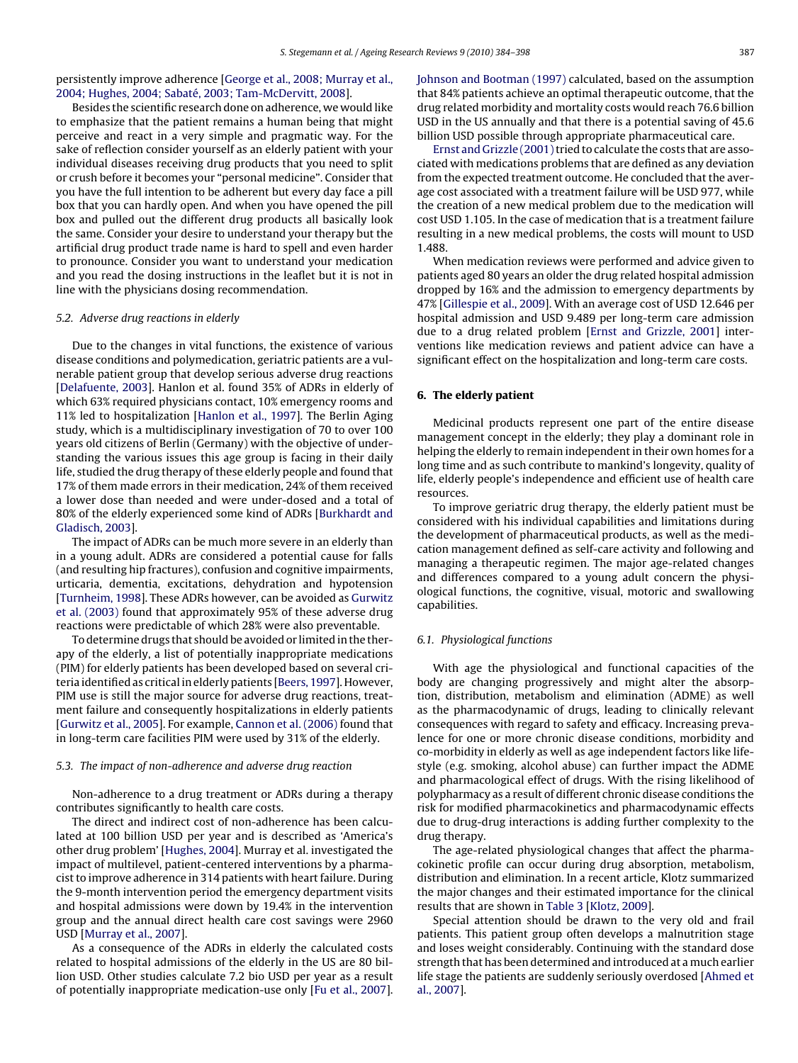persistently improve adherence [[George et al., 2008; Murray et al.,](#page-12-0) [2004; Hughes, 2004; Sabaté, 2003; Tam-McDervitt, 2008\].](#page-12-0)

Besides the scientific research done on adherence, we would like to emphasize that the patient remains a human being that might perceive and react in a very simple and pragmatic way. For the sake of reflection consider yourself as an elderly patient with your individual diseases receiving drug products that you need to split or crush before it becomes your "personal medicine". Consider that you have the full intention to be adherent but every day face a pill box that you can hardly open. And when you have opened the pill box and pulled out the different drug products all basically look the same. Consider your desire to understand your therapy but the artificial drug product trade name is hard to spell and even harder to pronounce. Consider you want to understand your medication and you read the dosing instructions in the leaflet but it is not in line with the physicians dosing recommendation.

#### 5.2. Adverse drug reactions in elderly

Due to the changes in vital functions, the existence of various disease conditions and polymedication, geriatric patients are a vulnerable patient group that develop serious adverse drug reactions [[Delafuente, 2003\].](#page-12-0) Hanlon et al. found 35% of ADRs in elderly of which 63% required physicians contact, 10% emergency rooms and 11% led to hospitalization [[Hanlon et al., 1997\].](#page-13-0) The Berlin Aging study, which is a multidisciplinary investigation of 70 to over 100 years old citizens of Berlin (Germany) with the objective of understanding the various issues this age group is facing in their daily life, studied the drug therapy of these elderly people and found that 17% of them made errors in their medication, 24% of them received a lower dose than needed and were under-dosed and a total of 80% of the elderly experienced some kind of ADRs [\[Burkhardt and](#page-12-0) [Gladisch, 2003\].](#page-12-0)

The impact of ADRs can be much more severe in an elderly than in a young adult. ADRs are considered a potential cause for falls (and resulting hip fractures), confusion and cognitive impairments, urticaria, dementia, excitations, dehydration and hypotension [[Turnheim, 1998\].](#page-14-0) These ADRs however, can be avoided as [Gurwitz](#page-12-0) [et al. \(2003\)](#page-12-0) found that approximately 95% of these adverse drug reactions were predictable of which 28% were also preventable.

To determine drugs that should be avoided or limited in the therapy of the elderly, a list of potentially inappropriate medications (PIM) for elderly patients has been developed based on several criteria identified as critical in elderly patients [\[Beers, 1997\].](#page-12-0) However, PIM use is still the major source for adverse drug reactions, treatment failure and consequently hospitalizations in elderly patients [[Gurwitz et al., 2005\].](#page-12-0) For example, [Cannon et al. \(2006\)](#page-12-0) found that in long-term care facilities PIM were used by 31% of the elderly.

#### 5.3. The impact of non-adherence and adverse drug reaction

Non-adherence to a drug treatment or ADRs during a therapy contributes significantly to health care costs.

The direct and indirect cost of non-adherence has been calculated at 100 billion USD per year and is described as 'America's other drug problem' [\[Hughes, 2004\].](#page-13-0) Murray et al. investigated the impact of multilevel, patient-centered interventions by a pharmacist to improve adherence in 314 patients with heart failure. During the 9-month intervention period the emergency department visits and hospital admissions were down by 19.4% in the intervention group and the annual direct health care cost savings were 2960 USD [\[Murray et al., 2007\].](#page-13-0)

As a consequence of the ADRs in elderly the calculated costs related to hospital admissions of the elderly in the US are 80 billion USD. Other studies calculate 7.2 bio USD per year as a result of potentially inappropriate medication-use only [[Fu et al., 2007\].](#page-12-0) [Johnson and Bootman \(1997\)](#page-13-0) calculated, based on the assumption that 84% patients achieve an optimal therapeutic outcome, that the drug related morbidity and mortality costs would reach 76.6 billion USD in the US annually and that there is a potential saving of 45.6 billion USD possible through appropriate pharmaceutical care.

Ernst and Grizzle (2001) tried to calculate the costs that are associated with medications problems that are defined as any deviation from the expected treatment outcome. He concluded that the average cost associated with a treatment failure will be USD 977, while the creation of a new medical problem due to the medication will cost USD 1.105. In the case of medication that is a treatment failure resulting in a new medical problems, the costs will mount to USD 1.488.

When medication reviews were performed and advice given to patients aged 80 years an older the drug related hospital admission dropped by 16% and the admission to emergency departments by 47% [\[Gillespie et al., 2009\].](#page-12-0) With an average cost of USD 12.646 per hospital admission and USD 9.489 per long-term care admission due to a drug related problem [[Ernst and Grizzle, 2001\]](#page-12-0) interventions like medication reviews and patient advice can have a significant effect on the hospitalization and long-term care costs.

#### **6. The elderly patient**

Medicinal products represent one part of the entire disease management concept in the elderly; they play a dominant role in helping the elderly to remain independent in their own homes for a long time and as such contribute to mankind's longevity, quality of life, elderly people's independence and efficient use of health care resources.

To improve geriatric drug therapy, the elderly patient must be considered with his individual capabilities and limitations during the development of pharmaceutical products, as well as the medication management defined as self-care activity and following and managing a therapeutic regimen. The major age-related changes and differences compared to a young adult concern the physiological functions, the cognitive, visual, motoric and swallowing capabilities.

### 6.1. Physiological functions

With age the physiological and functional capacities of the body are changing progressively and might alter the absorption, distribution, metabolism and elimination (ADME) as well as the pharmacodynamic of drugs, leading to clinically relevant consequences with regard to safety and efficacy. Increasing prevalence for one or more chronic disease conditions, morbidity and co-morbidity in elderly as well as age independent factors like lifestyle (e.g. smoking, alcohol abuse) can further impact the ADME and pharmacological effect of drugs. With the rising likelihood of polypharmacy as a result of different chronic disease conditions the risk for modified pharmacokinetics and pharmacodynamic effects due to drug-drug interactions is adding further complexity to the drug therapy.

The age-related physiological changes that affect the pharmacokinetic profile can occur during drug absorption, metabolism, distribution and elimination. In a recent article, Klotz summarized the major changes and their estimated importance for the clinical results that are shown in [Table 3](#page-4-0) [[Klotz, 2009\].](#page-13-0)

Special attention should be drawn to the very old and frail patients. This patient group often develops a malnutrition stage and loses weight considerably. Continuing with the standard dose strength that has been determined and introduced at a much earlier life stage the patients are suddenly seriously overdosed [\[Ahmed et](#page-12-0) [al., 2007\].](#page-12-0)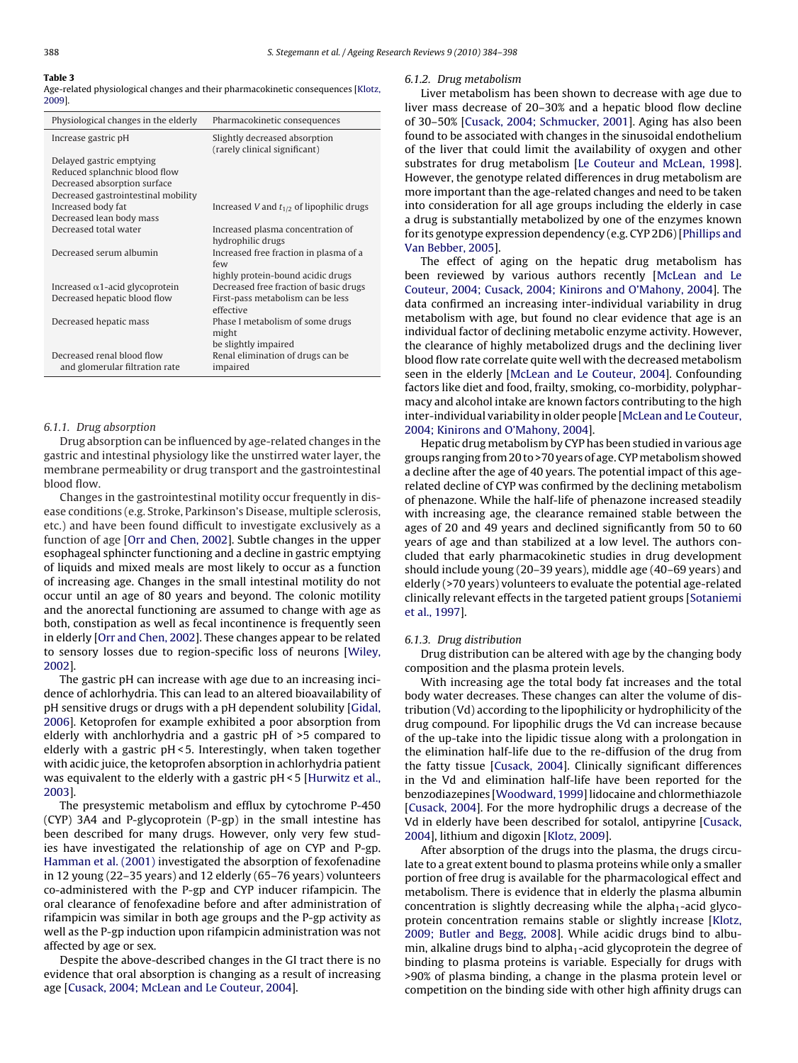#### <span id="page-4-0"></span>**Table 3**

Age-related physiological changes and their pharmacokinetic consequences [[Klotz,](#page-13-0) [2009\].](#page-13-0)

| Physiological changes in the elderly   | Pharmacokinetic consequences                                   |
|----------------------------------------|----------------------------------------------------------------|
| Increase gastric pH                    | Slightly decreased absorption<br>(rarely clinical significant) |
| Delayed gastric emptying               |                                                                |
| Reduced splanchnic blood flow          |                                                                |
| Decreased absorption surface           |                                                                |
| Decreased gastrointestinal mobility    |                                                                |
| Increased body fat                     | Increased V and $t_{1/2}$ of lipophilic drugs                  |
| Decreased lean body mass               |                                                                |
| Decreased total water                  | Increased plasma concentration of                              |
|                                        | hydrophilic drugs                                              |
| Decreased serum albumin                | Increased free fraction in plasma of a                         |
|                                        | few                                                            |
|                                        | highly protein-bound acidic drugs                              |
| Increased $\alpha$ 1-acid glycoprotein | Decreased free fraction of basic drugs                         |
| Decreased hepatic blood flow           | First-pass metabolism can be less                              |
|                                        | effective                                                      |
| Decreased hepatic mass                 | Phase I metabolism of some drugs                               |
|                                        | might                                                          |
|                                        | be slightly impaired                                           |
| Decreased renal blood flow             | Renal elimination of drugs can be                              |
| and glomerular filtration rate         | impaired                                                       |
|                                        |                                                                |

### 6.1.1. Drug absorption

Drug absorption can be influenced by age-related changes in the gastric and intestinal physiology like the unstirred water layer, the membrane permeability or drug transport and the gastrointestinal blood flow.

Changes in the gastrointestinal motility occur frequently in disease conditions (e.g. Stroke, Parkinson's Disease, multiple sclerosis, etc.) and have been found difficult to investigate exclusively as a function of age [\[Orr and Chen, 2002\].](#page-13-0) Subtle changes in the upper esophageal sphincter functioning and a decline in gastric emptying of liquids and mixed meals are most likely to occur as a function of increasing age. Changes in the small intestinal motility do not occur until an age of 80 years and beyond. The colonic motility and the anorectal functioning are assumed to change with age as both, constipation as well as fecal incontinence is frequently seen in elderly [\[Orr and Chen, 2002\].](#page-13-0) These changes appear to be related to sensory losses due to region-specific loss of neurons [[Wiley,](#page-14-0) [2002\].](#page-14-0)

The gastric pH can increase with age due to an increasing incidence of achlorhydria. This can lead to an altered bioavailability of pH sensitive drugs or drugs with a pH dependent solubility [\[Gidal,](#page-12-0) [2006\].](#page-12-0) Ketoprofen for example exhibited a poor absorption from elderly with anchlorhydria and a gastric pH of >5 compared to elderly with a gastric pH < 5. Interestingly, when taken together with acidic juice, the ketoprofen absorption in achlorhydria patient was equivalent to the elderly with a gastric pH < 5 [\[Hurwitz et al.,](#page-13-0) [2003\].](#page-13-0)

The presystemic metabolism and efflux by cytochrome P-450 (CYP) 3A4 and P-glycoprotein (P-gp) in the small intestine has been described for many drugs. However, only very few studies have investigated the relationship of age on CYP and P-gp. [Hamman et al. \(2001\)](#page-12-0) investigated the absorption of fexofenadine in 12 young (22–35 years) and 12 elderly (65–76 years) volunteers co-administered with the P-gp and CYP inducer rifampicin. The oral clearance of fenofexadine before and after administration of rifampicin was similar in both age groups and the P-gp activity as well as the P-gp induction upon rifampicin administration was not affected by age or sex.

Despite the above-described changes in the GI tract there is no evidence that oral absorption is changing as a result of increasing age [[Cusack, 2004; McLean and Le Couteur, 2004\].](#page-12-0)

#### 6.1.2. Drug metabolism

Liver metabolism has been shown to decrease with age due to liver mass decrease of 20–30% and a hepatic blood flow decline of 30–50% [\[Cusack, 2004; Schmucker, 2001\].](#page-12-0) Aging has also been found to be associated with changes in the sinusoidal endothelium of the liver that could limit the availability of oxygen and other substrates for drug metabolism [[Le Couteur and McLean, 1998\].](#page-13-0) However, the genotype related differences in drug metabolism are more important than the age-related changes and need to be taken into consideration for all age groups including the elderly in case a drug is substantially metabolized by one of the enzymes known for its genotype expression dependency (e.g. CYP 2D6) [[Phillips and](#page-13-0) [Van Bebber, 2005\].](#page-13-0)

The effect of aging on the hepatic drug metabolism has been reviewed by various authors recently [\[McLean and Le](#page-13-0) [Couteur, 2004; Cusack, 2004; Kinirons and O'Mahony, 2004\].](#page-13-0) The data confirmed an increasing inter-individual variability in drug metabolism with age, but found no clear evidence that age is an individual factor of declining metabolic enzyme activity. However, the clearance of highly metabolized drugs and the declining liver blood flow rate correlate quite well with the decreased metabolism seen in the elderly [\[McLean and Le Couteur, 2004\].](#page-13-0) Confounding factors like diet and food, frailty, smoking, co-morbidity, polypharmacy and alcohol intake are known factors contributing to the high inter-individual variability in older people [[McLean and Le Couteur,](#page-13-0) [2004; Kinirons and O'Mahony, 2004\].](#page-13-0)

Hepatic drug metabolism by CYP has been studied in various age groups ranging from 20 to >70 years of age. CYPmetabolism showed a decline after the age of 40 years. The potential impact of this agerelated decline of CYP was confirmed by the declining metabolism of phenazone. While the half-life of phenazone increased steadily with increasing age, the clearance remained stable between the ages of 20 and 49 years and declined significantly from 50 to 60 years of age and than stabilized at a low level. The authors concluded that early pharmacokinetic studies in drug development should include young (20–39 years), middle age (40–69 years) and elderly (>70 years) volunteers to evaluate the potential age-related clinically relevant effects in the targeted patient groups [\[Sotaniemi](#page-13-0) [et al., 1997\].](#page-13-0)

### 6.1.3. Drug distribution

Drug distribution can be altered with age by the changing body composition and the plasma protein levels.

With increasing age the total body fat increases and the total body water decreases. These changes can alter the volume of distribution (Vd) according to the lipophilicity or hydrophilicity of the drug compound. For lipophilic drugs the Vd can increase because of the up-take into the lipidic tissue along with a prolongation in the elimination half-life due to the re-diffusion of the drug from the fatty tissue [\[Cusack, 2004\].](#page-12-0) Clinically significant differences in the Vd and elimination half-life have been reported for the benzodiazepines [\[Woodward, 1999\] l](#page-14-0)idocaine and chlormethiazole [\[Cusack, 2004\].](#page-12-0) For the more hydrophilic drugs a decrease of the Vd in elderly have been described for sotalol, antipyrine [\[Cusack,](#page-12-0) [2004\],](#page-12-0) lithium and digoxin [[Klotz, 2009\].](#page-13-0)

After absorption of the drugs into the plasma, the drugs circulate to a great extent bound to plasma proteins while only a smaller portion of free drug is available for the pharmacological effect and metabolism. There is evidence that in elderly the plasma albumin concentration is slightly decreasing while the alpha<sub>1</sub>-acid glycoprotein concentration remains stable or slightly increase [\[Klotz,](#page-13-0) [2009; Butler and Begg, 2008\].](#page-13-0) While acidic drugs bind to albumin, alkaline drugs bind to alpha $_1$ -acid glycoprotein the degree of binding to plasma proteins is variable. Especially for drugs with >90% of plasma binding, a change in the plasma protein level or competition on the binding side with other high affinity drugs can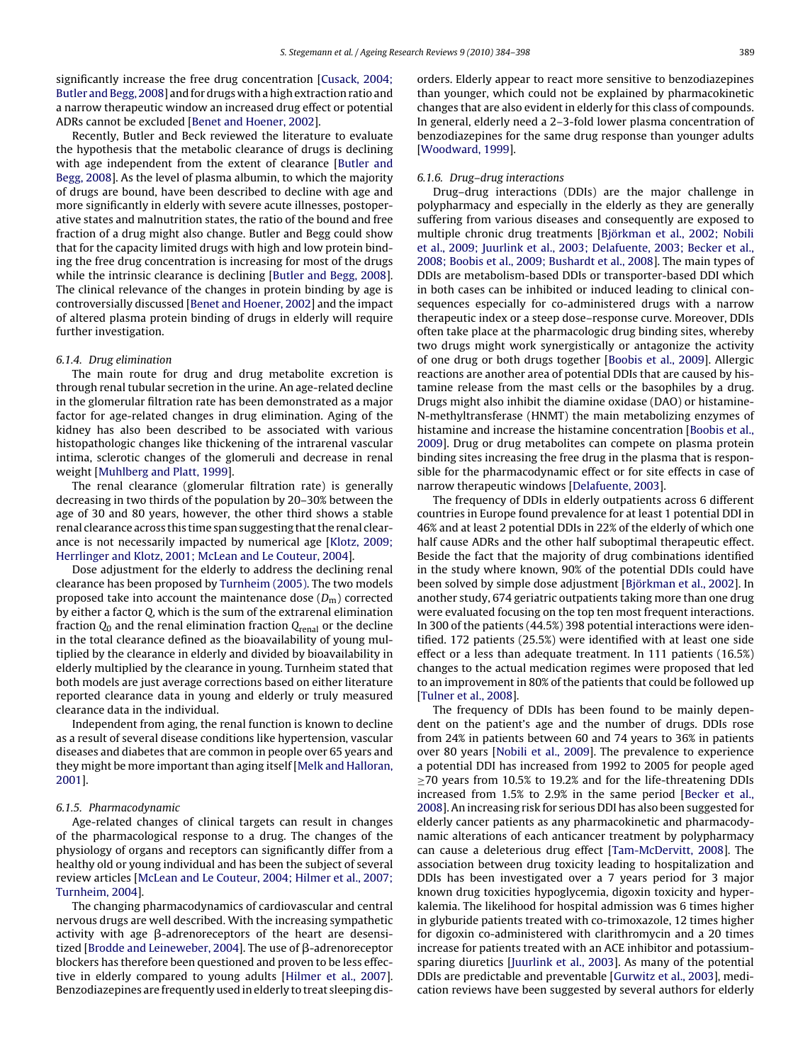significantly increase the free drug concentration [[Cusack, 2004;](#page-12-0) [Butler and Begg, 2008\] a](#page-12-0)nd for drugs with a high extraction ratio and a narrow therapeutic window an increased drug effect or potential ADRs cannot be excluded [\[Benet and Hoener, 2002\].](#page-12-0)

Recently, Butler and Beck reviewed the literature to evaluate the hypothesis that the metabolic clearance of drugs is declining with age independent from the extent of clearance [\[Butler and](#page-12-0) [Begg, 2008\].](#page-12-0) As the level of plasma albumin, to which the majority of drugs are bound, have been described to decline with age and more significantly in elderly with severe acute illnesses, postoperative states and malnutrition states, the ratio of the bound and free fraction of a drug might also change. Butler and Begg could show that for the capacity limited drugs with high and low protein binding the free drug concentration is increasing for most of the drugs while the intrinsic clearance is declining [[Butler and Begg, 2008\].](#page-12-0) The clinical relevance of the changes in protein binding by age is controversially discussed [\[Benet and Hoener, 2002\] a](#page-12-0)nd the impact of altered plasma protein binding of drugs in elderly will require further investigation.

#### 6.1.4. Drug elimination

The main route for drug and drug metabolite excretion is through renal tubular secretion in the urine. An age-related decline in the glomerular filtration rate has been demonstrated as a major factor for age-related changes in drug elimination. Aging of the kidney has also been described to be associated with various histopathologic changes like thickening of the intrarenal vascular intima, sclerotic changes of the glomeruli and decrease in renal weight [[Muhlberg and Platt, 1999\].](#page-13-0)

The renal clearance (glomerular filtration rate) is generally decreasing in two thirds of the population by 20–30% between the age of 30 and 80 years, however, the other third shows a stable renal clearance across this time span suggesting that the renal clearance is not necessarily impacted by numerical age [\[Klotz, 2009;](#page-13-0) [Herrlinger and Klotz, 2001; McLean and Le Couteur, 2004\].](#page-13-0)

Dose adjustment for the elderly to address the declining renal clearance has been proposed by [Turnheim \(2005\). T](#page-14-0)he two models proposed take into account the maintenance dose  $(D_m)$  corrected by either a factor Q, which is the sum of the extrarenal elimination fraction  $Q_0$  and the renal elimination fraction  $Q_{\text{real}}$  or the decline in the total clearance defined as the bioavailability of young multiplied by the clearance in elderly and divided by bioavailability in elderly multiplied by the clearance in young. Turnheim stated that both models are just average corrections based on either literature reported clearance data in young and elderly or truly measured clearance data in the individual.

Independent from aging, the renal function is known to decline as a result of several disease conditions like hypertension, vascular diseases and diabetes that are common in people over 65 years and they might be more important than aging itself [\[Melk and Halloran,](#page-13-0) [2001\].](#page-13-0)

## 6.1.5. Pharmacodynamic

Age-related changes of clinical targets can result in changes of the pharmacological response to a drug. The changes of the physiology of organs and receptors can significantly differ from a healthy old or young individual and has been the subject of several review articles [\[McLean and Le Couteur, 2004; Hilmer et al., 2007;](#page-13-0) [Turnheim, 2004\].](#page-13-0)

The changing pharmacodynamics of cardiovascular and central nervous drugs are well described. With the increasing sympathetic activity with age  $\beta$ -adrenoreceptors of the heart are desensi-tized [[Brodde and Leineweber, 2004\].](#page-12-0) The use of  $\beta$ -adrenoreceptor blockers has therefore been questioned and proven to be less effective in elderly compared to young adults [\[Hilmer et al., 2007\].](#page-13-0) Benzodiazepines are frequently used in elderly to treat sleeping disorders. Elderly appear to react more sensitive to benzodiazepines than younger, which could not be explained by pharmacokinetic changes that are also evident in elderly for this class of compounds. In general, elderly need a 2–3-fold lower plasma concentration of benzodiazepines for the same drug response than younger adults [\[Woodward, 1999\].](#page-14-0)

## 6.1.6. Drug–drug interactions

Drug–drug interactions (DDIs) are the major challenge in polypharmacy and especially in the elderly as they are generally suffering from various diseases and consequently are exposed to multiple chronic drug treatments [[Björkman et al., 2002; Nobili](#page-12-0) [et al., 2009; Juurlink et al., 2003; Delafuente, 2003; Becker et al.,](#page-12-0) [2008; Boobis et al., 2009; Bushardt et al., 2008\].](#page-12-0) The main types of DDIs are metabolism-based DDIs or transporter-based DDI which in both cases can be inhibited or induced leading to clinical consequences especially for co-administered drugs with a narrow therapeutic index or a steep dose–response curve. Moreover, DDIs often take place at the pharmacologic drug binding sites, whereby two drugs might work synergistically or antagonize the activity of one drug or both drugs together [\[Boobis et al., 2009\].](#page-12-0) Allergic reactions are another area of potential DDIs that are caused by histamine release from the mast cells or the basophiles by a drug. Drugs might also inhibit the diamine oxidase (DAO) or histamine-N-methyltransferase (HNMT) the main metabolizing enzymes of histamine and increase the histamine concentration [\[Boobis et al.,](#page-12-0) [2009\].](#page-12-0) Drug or drug metabolites can compete on plasma protein binding sites increasing the free drug in the plasma that is responsible for the pharmacodynamic effect or for site effects in case of narrow therapeutic windows [[Delafuente, 2003\].](#page-12-0)

The frequency of DDIs in elderly outpatients across 6 different countries in Europe found prevalence for at least 1 potential DDI in 46% and at least 2 potential DDIs in 22% of the elderly of which one half cause ADRs and the other half suboptimal therapeutic effect. Beside the fact that the majority of drug combinations identified in the study where known, 90% of the potential DDIs could have been solved by simple dose adjustment [\[Björkman et al., 2002\].](#page-12-0) In another study, 674 geriatric outpatients taking more than one drug were evaluated focusing on the top ten most frequent interactions. In 300 of the patients (44.5%) 398 potential interactions were identified. 172 patients (25.5%) were identified with at least one side effect or a less than adequate treatment. In 111 patients (16.5%) changes to the actual medication regimes were proposed that led to an improvement in 80% of the patients that could be followed up [\[Tulner et al., 2008\].](#page-14-0)

The frequency of DDIs has been found to be mainly dependent on the patient's age and the number of drugs. DDIs rose from 24% in patients between 60 and 74 years to 36% in patients over 80 years [[Nobili et al., 2009\].](#page-13-0) The prevalence to experience a potential DDI has increased from 1992 to 2005 for people aged ≥70 years from 10.5% to 19.2% and for the life-threatening DDIs increased from 1.5% to 2.9% in the same period [\[Becker et al.,](#page-12-0) [2008\].](#page-12-0) An increasing risk for serious DDI has also been suggested for elderly cancer patients as any pharmacokinetic and pharmacodynamic alterations of each anticancer treatment by polypharmacy can cause a deleterious drug effect [\[Tam-McDervitt, 2008\].](#page-14-0) The association between drug toxicity leading to hospitalization and DDIs has been investigated over a 7 years period for 3 major known drug toxicities hypoglycemia, digoxin toxicity and hyperkalemia. The likelihood for hospital admission was 6 times higher in glyburide patients treated with co-trimoxazole, 12 times higher for digoxin co-administered with clarithromycin and a 20 times increase for patients treated with an ACE inhibitor and potassiumsparing diuretics [[Juurlink et al., 2003\].](#page-13-0) As many of the potential DDIs are predictable and preventable [\[Gurwitz et al., 2003\],](#page-12-0) medication reviews have been suggested by several authors for elderly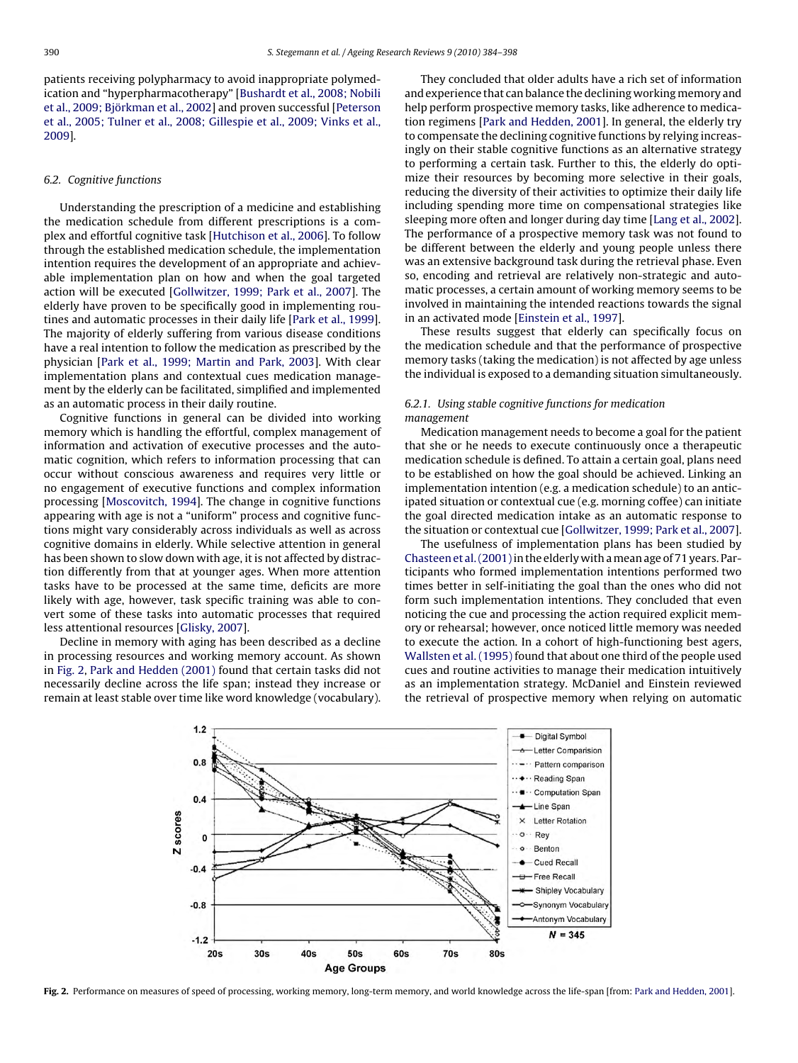patients receiving polypharmacy to avoid inappropriate polymedication and "hyperpharmacotherapy" [\[Bushardt et al., 2008; Nobili](#page-12-0) [et al., 2009; Björkman et al., 2002\] a](#page-12-0)nd proven successful [[Peterson](#page-13-0) [et al., 2005; Tulner et al., 2008; Gillespie et al., 2009; Vinks et al.,](#page-13-0) [2009\].](#page-13-0)

#### 6.2. Cognitive functions

Understanding the prescription of a medicine and establishing the medication schedule from different prescriptions is a complex and effortful cognitive task [[Hutchison et al., 2006\].](#page-13-0) To follow through the established medication schedule, the implementation intention requires the development of an appropriate and achievable implementation plan on how and when the goal targeted action will be executed [\[Gollwitzer, 1999; Park et al., 2007\].](#page-12-0) The elderly have proven to be specifically good in implementing routines and automatic processes in their daily life [\[Park et al., 1999\].](#page-13-0) The majority of elderly suffering from various disease conditions have a real intention to follow the medication as prescribed by the physician [[Park et al., 1999; Martin and Park, 2003\].](#page-13-0) With clear implementation plans and contextual cues medication management by the elderly can be facilitated, simplified and implemented as an automatic process in their daily routine.

Cognitive functions in general can be divided into working memory which is handling the effortful, complex management of information and activation of executive processes and the automatic cognition, which refers to information processing that can occur without conscious awareness and requires very little or no engagement of executive functions and complex information processing [\[Moscovitch, 1994\].](#page-13-0) The change in cognitive functions appearing with age is not a "uniform" process and cognitive functions might vary considerably across individuals as well as across cognitive domains in elderly. While selective attention in general has been shown to slow down with age, it is not affected by distraction differently from that at younger ages. When more attention tasks have to be processed at the same time, deficits are more likely with age, however, task specific training was able to convert some of these tasks into automatic processes that required less attentional resources [[Glisky, 2007\].](#page-12-0)

Decline in memory with aging has been described as a decline in processing resources and working memory account. As shown in Fig. 2, [Park and Hedden \(2001\)](#page-13-0) found that certain tasks did not necessarily decline across the life span; instead they increase or remain at least stable over time like word knowledge (vocabulary).

They concluded that older adults have a rich set of information and experience that can balance the declining working memory and help perform prospective memory tasks, like adherence to medication regimens [[Park and Hedden, 2001\].](#page-13-0) In general, the elderly try to compensate the declining cognitive functions by relying increasingly on their stable cognitive functions as an alternative strategy to performing a certain task. Further to this, the elderly do optimize their resources by becoming more selective in their goals, reducing the diversity of their activities to optimize their daily life including spending more time on compensational strategies like sleeping more often and longer during day time [[Lang et al., 2002\].](#page-13-0) The performance of a prospective memory task was not found to be different between the elderly and young people unless there was an extensive background task during the retrieval phase. Even so, encoding and retrieval are relatively non-strategic and automatic processes, a certain amount of working memory seems to be involved in maintaining the intended reactions towards the signal in an activated mode [\[Einstein et al., 1997\].](#page-12-0)

These results suggest that elderly can specifically focus on the medication schedule and that the performance of prospective memory tasks (taking the medication) is not affected by age unless the individual is exposed to a demanding situation simultaneously.

## 6.2.1. Using stable cognitive functions for medication management

Medication management needs to become a goal for the patient that she or he needs to execute continuously once a therapeutic medication schedule is defined. To attain a certain goal, plans need to be established on how the goal should be achieved. Linking an implementation intention (e.g. a medication schedule) to an anticipated situation or contextual cue (e.g. morning coffee) can initiate the goal directed medication intake as an automatic response to the situation or contextual cue [\[Gollwitzer, 1999; Park et al., 2007\].](#page-12-0)

The usefulness of implementation plans has been studied by [Chasteen et al. \(2001\)in](#page-12-0) the elderly with amean age of 71 years. Participants who formed implementation intentions performed two times better in self-initiating the goal than the ones who did not form such implementation intentions. They concluded that even noticing the cue and processing the action required explicit memory or rehearsal; however, once noticed little memory was needed to execute the action. In a cohort of high-functioning best agers, [Wallsten et al. \(1995\)](#page-14-0) found that about one third of the people used cues and routine activities to manage their medication intuitively as an implementation strategy. McDaniel and Einstein reviewed the retrieval of prospective memory when relying on automatic



**Fig. 2.** Performance on measures of speed of processing, working memory, long-term memory, and world knowledge across the life-span [from: [Park and Hedden, 2001\].](#page-13-0)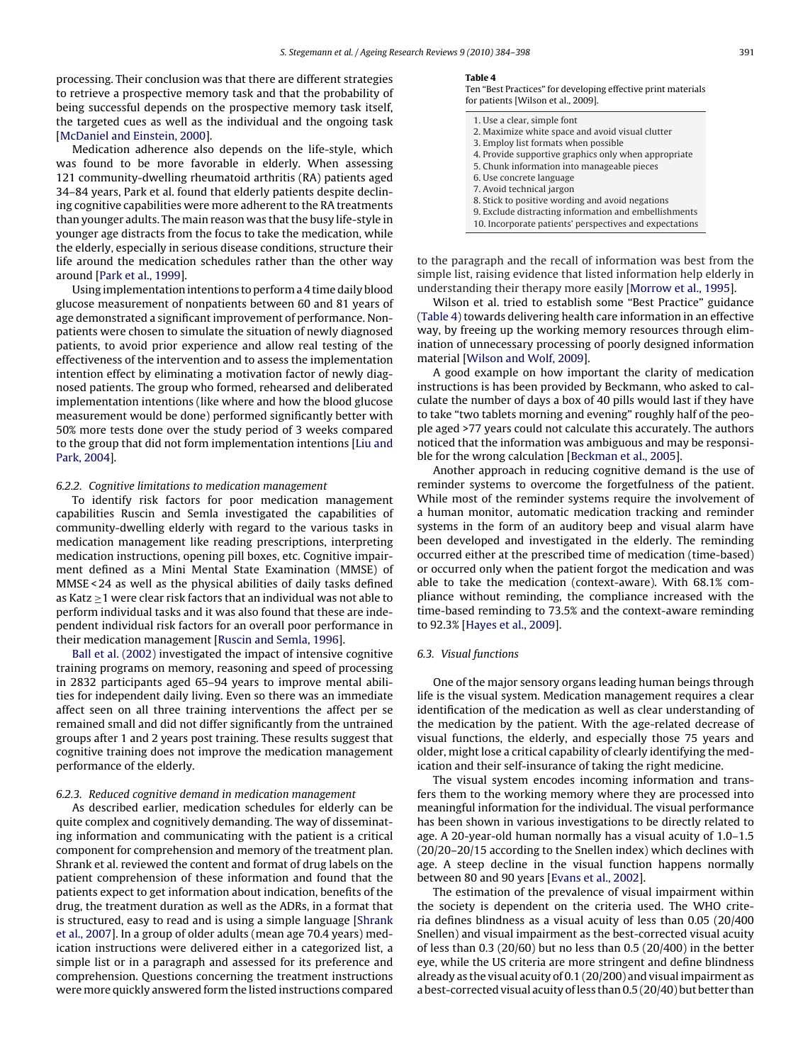<span id="page-7-0"></span>processing. Their conclusion was that there are different strategies to retrieve a prospective memory task and that the probability of being successful depends on the prospective memory task itself, the targeted cues as well as the individual and the ongoing task [[McDaniel and Einstein, 2000\].](#page-13-0)

Medication adherence also depends on the life-style, which was found to be more favorable in elderly. When assessing 121 community-dwelling rheumatoid arthritis (RA) patients aged 34–84 years, Park et al. found that elderly patients despite declining cognitive capabilities were more adherent to the RA treatments than younger adults. The main reason was that the busy life-style in younger age distracts from the focus to take the medication, while the elderly, especially in serious disease conditions, structure their life around the medication schedules rather than the other way around [\[Park et al., 1999\].](#page-13-0)

Using implementation intentions to perform a 4 time daily blood glucose measurement of nonpatients between 60 and 81 years of age demonstrated a significant improvement of performance. Nonpatients were chosen to simulate the situation of newly diagnosed patients, to avoid prior experience and allow real testing of the effectiveness of the intervention and to assess the implementation intention effect by eliminating a motivation factor of newly diagnosed patients. The group who formed, rehearsed and deliberated implementation intentions (like where and how the blood glucose measurement would be done) performed significantly better with 50% more tests done over the study period of 3 weeks compared to the group that did not form implementation intentions [[Liu and](#page-13-0) [Park, 2004\].](#page-13-0)

## 6.2.2. Cognitive limitations to medication management

To identify risk factors for poor medication management capabilities Ruscin and Semla investigated the capabilities of community-dwelling elderly with regard to the various tasks in medication management like reading prescriptions, interpreting medication instructions, opening pill boxes, etc. Cognitive impairment defined as a Mini Mental State Examination (MMSE) of MMSE < 24 as well as the physical abilities of daily tasks defined as Katz ≥1 were clear risk factors that an individual was not able to perform individual tasks and it was also found that these are independent individual risk factors for an overall poor performance in their medication management [[Ruscin and Semla, 1996\].](#page-13-0)

[Ball et al. \(2002\)](#page-12-0) investigated the impact of intensive cognitive training programs on memory, reasoning and speed of processing in 2832 participants aged 65–94 years to improve mental abilities for independent daily living. Even so there was an immediate affect seen on all three training interventions the affect per se remained small and did not differ significantly from the untrained groups after 1 and 2 years post training. These results suggest that cognitive training does not improve the medication management performance of the elderly.

### 6.2.3. Reduced cognitive demand in medication management

As described earlier, medication schedules for elderly can be quite complex and cognitively demanding. The way of disseminating information and communicating with the patient is a critical component for comprehension and memory of the treatment plan. Shrank et al. reviewed the content and format of drug labels on the patient comprehension of these information and found that the patients expect to get information about indication, benefits of the drug, the treatment duration as well as the ADRs, in a format that is structured, easy to read and is using a simple language [[Shrank](#page-13-0) [et al., 2007\].](#page-13-0) In a group of older adults (mean age 70.4 years) medication instructions were delivered either in a categorized list, a simple list or in a paragraph and assessed for its preference and comprehension. Questions concerning the treatment instructions were more quickly answered form the listed instructions compared

#### **Table 4**

Ten "Best Practices" for developing effective print materials for patients [Wilson et al., 2009].

| 1. Use a clear, simple font                             |
|---------------------------------------------------------|
| 2. Maximize white space and avoid visual clutter        |
| 3. Employ list formats when possible                    |
| 4. Provide supportive graphics only when appropriate    |
| 5. Chunk information into manageable pieces             |
| 6. Use concrete language                                |
| 7. Avoid technical jargon                               |
| 8. Stick to positive wording and avoid negations        |
| 9. Exclude distracting information and embellishments   |
| 10. Incorporate patients' perspectives and expectations |

to the paragraph and the recall of information was best from the simple list, raising evidence that listed information help elderly in understanding their therapy more easily [[Morrow et al., 1995\].](#page-13-0)

Wilson et al. tried to establish some "Best Practice" guidance (Table 4) towards delivering health care information in an effective way, by freeing up the working memory resources through elimination of unnecessary processing of poorly designed information material [[Wilson and Wolf, 2009\].](#page-14-0)

A good example on how important the clarity of medication instructions is has been provided by Beckmann, who asked to calculate the number of days a box of 40 pills would last if they have to take "two tablets morning and evening" roughly half of the people aged >77 years could not calculate this accurately. The authors noticed that the information was ambiguous and may be responsible for the wrong calculation [\[Beckman et al., 2005\].](#page-12-0)

Another approach in reducing cognitive demand is the use of reminder systems to overcome the forgetfulness of the patient. While most of the reminder systems require the involvement of a human monitor, automatic medication tracking and reminder systems in the form of an auditory beep and visual alarm have been developed and investigated in the elderly. The reminding occurred either at the prescribed time of medication (time-based) or occurred only when the patient forgot the medication and was able to take the medication (context-aware). With 68.1% compliance without reminding, the compliance increased with the time-based reminding to 73.5% and the context-aware reminding to 92.3% [[Hayes et al., 2009\].](#page-13-0)

### 6.3. Visual functions

One of the major sensory organs leading human beings through life is the visual system. Medication management requires a clear identification of the medication as well as clear understanding of the medication by the patient. With the age-related decrease of visual functions, the elderly, and especially those 75 years and older, might lose a critical capability of clearly identifying the medication and their self-insurance of taking the right medicine.

The visual system encodes incoming information and transfers them to the working memory where they are processed into meaningful information for the individual. The visual performance has been shown in various investigations to be directly related to age. A 20-year-old human normally has a visual acuity of 1.0–1.5 (20/20–20/15 according to the Snellen index) which declines with age. A steep decline in the visual function happens normally between 80 and 90 years [[Evans et al., 2002\].](#page-12-0)

The estimation of the prevalence of visual impairment within the society is dependent on the criteria used. The WHO criteria defines blindness as a visual acuity of less than 0.05 (20/400 Snellen) and visual impairment as the best-corrected visual acuity of less than 0.3 (20/60) but no less than 0.5 (20/400) in the better eye, while the US criteria are more stringent and define blindness already as the visual acuity of 0.1 (20/200) and visual impairment as a best-corrected visual acuity of less than 0.5 (20/40) but better than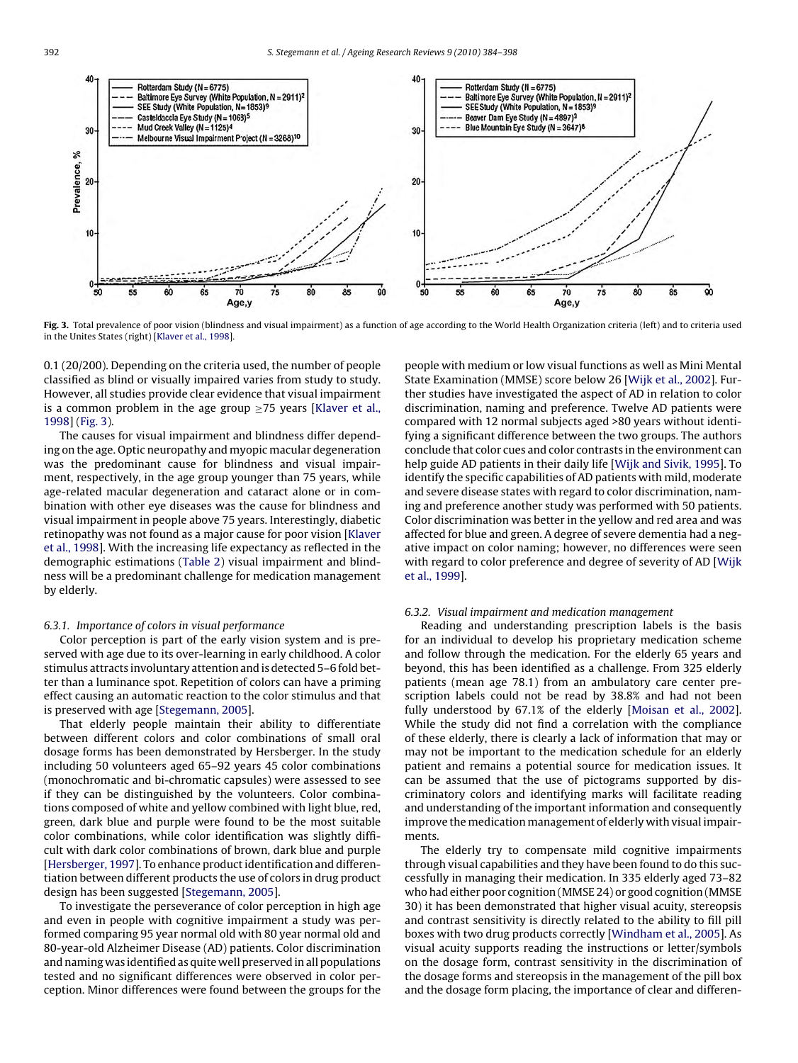

Fig. 3. Total prevalence of poor vision (blindness and visual impairment) as a function of age according to the World Health Organization criteria (left) and to criteria used in the Unites States (right) [\[Klaver et al., 1998\].](#page-13-0)

0.1 (20/200). Depending on the criteria used, the number of people classified as blind or visually impaired varies from study to study. However, all studies provide clear evidence that visual impairment is a common problem in the age group  $\geq$ 75 years [\[Klaver et al.,](#page-13-0) [1998\] \(](#page-13-0)Fig. 3).

The causes for visual impairment and blindness differ depending on the age. Optic neuropathy and myopic macular degeneration was the predominant cause for blindness and visual impairment, respectively, in the age group younger than 75 years, while age-related macular degeneration and cataract alone or in combination with other eye diseases was the cause for blindness and visual impairment in people above 75 years. Interestingly, diabetic retinopathy was not found as a major cause for poor vision [[Klaver](#page-13-0) [et al., 1998\].](#page-13-0) With the increasing life expectancy as reflected in the demographic estimations [\(Table 2\)](#page-1-0) visual impairment and blindness will be a predominant challenge for medication management by elderly.

#### 6.3.1. Importance of colors in visual performance

Color perception is part of the early vision system and is preserved with age due to its over-learning in early childhood. A color stimulus attracts involuntary attention and is detected 5–6 fold better than a luminance spot. Repetition of colors can have a priming effect causing an automatic reaction to the color stimulus and that is preserved with age [\[Stegemann, 2005\].](#page-13-0)

That elderly people maintain their ability to differentiate between different colors and color combinations of small oral dosage forms has been demonstrated by Hersberger. In the study including 50 volunteers aged 65–92 years 45 color combinations (monochromatic and bi-chromatic capsules) were assessed to see if they can be distinguished by the volunteers. Color combinations composed of white and yellow combined with light blue, red, green, dark blue and purple were found to be the most suitable color combinations, while color identification was slightly difficult with dark color combinations of brown, dark blue and purple [[Hersberger, 1997\].](#page-13-0) To enhance product identification and differentiation between different products the use of colors in drug product design has been suggested [[Stegemann, 2005\].](#page-13-0)

To investigate the perseverance of color perception in high age and even in people with cognitive impairment a study was performed comparing 95 year normal old with 80 year normal old and 80-year-old Alzheimer Disease (AD) patients. Color discrimination and naming was identified as quite well preserved in all populations tested and no significant differences were observed in color perception. Minor differences were found between the groups for the people with medium or low visual functions as well as Mini Mental State Examination (MMSE) score below 26 [\[Wijk et al., 2002\].](#page-14-0) Further studies have investigated the aspect of AD in relation to color discrimination, naming and preference. Twelve AD patients were compared with 12 normal subjects aged >80 years without identifying a significant difference between the two groups. The authors conclude that color cues and color contrasts in the environment can help guide AD patients in their daily life [\[Wijk and Sivik, 1995\].](#page-14-0) To identify the specific capabilities of AD patients with mild, moderate and severe disease states with regard to color discrimination, naming and preference another study was performed with 50 patients. Color discrimination was better in the yellow and red area and was affected for blue and green. A degree of severe dementia had a negative impact on color naming; however, no differences were seen with regard to color preference and degree of severity of AD [\[Wijk](#page-14-0) [et al., 1999\].](#page-14-0)

#### 6.3.2. Visual impairment and medication management

Reading and understanding prescription labels is the basis for an individual to develop his proprietary medication scheme and follow through the medication. For the elderly 65 years and beyond, this has been identified as a challenge. From 325 elderly patients (mean age 78.1) from an ambulatory care center prescription labels could not be read by 38.8% and had not been fully understood by 67.1% of the elderly [[Moisan et al., 2002\].](#page-13-0) While the study did not find a correlation with the compliance of these elderly, there is clearly a lack of information that may or may not be important to the medication schedule for an elderly patient and remains a potential source for medication issues. It can be assumed that the use of pictograms supported by discriminatory colors and identifying marks will facilitate reading and understanding of the important information and consequently improve the medication management of elderly with visual impairments.

The elderly try to compensate mild cognitive impairments through visual capabilities and they have been found to do this successfully in managing their medication. In 335 elderly aged 73–82 who had either poor cognition (MMSE 24) or good cognition (MMSE 30) it has been demonstrated that higher visual acuity, stereopsis and contrast sensitivity is directly related to the ability to fill pill boxes with two drug products correctly [[Windham et al., 2005\].](#page-14-0) As visual acuity supports reading the instructions or letter/symbols on the dosage form, contrast sensitivity in the discrimination of the dosage forms and stereopsis in the management of the pill box and the dosage form placing, the importance of clear and differen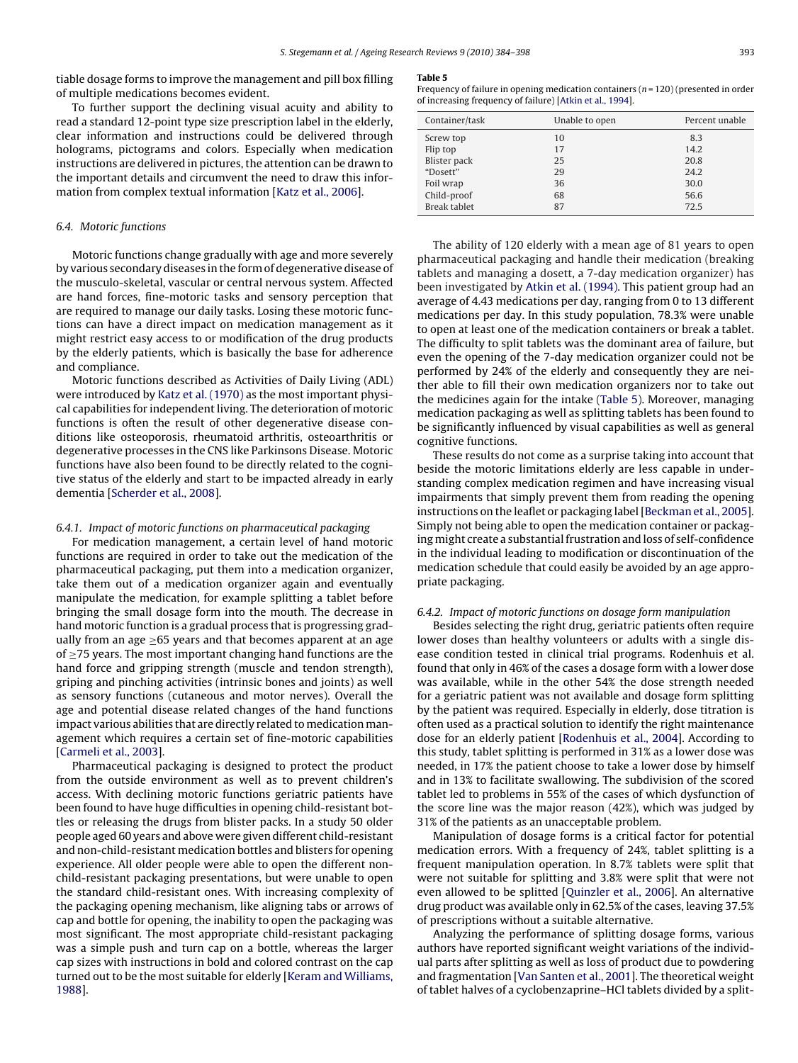tiable dosage forms to improve the management and pill box filling of multiple medications becomes evident.

To further support the declining visual acuity and ability to read a standard 12-point type size prescription label in the elderly, clear information and instructions could be delivered through holograms, pictograms and colors. Especially when medication instructions are delivered in pictures, the attention can be drawn to the important details and circumvent the need to draw this information from complex textual information [\[Katz et al., 2006\].](#page-13-0)

## 6.4. Motoric functions

Motoric functions change gradually with age and more severely by various secondary diseases in the form of degenerative disease of the musculo-skeletal, vascular or central nervous system. Affected are hand forces, fine-motoric tasks and sensory perception that are required to manage our daily tasks. Losing these motoric functions can have a direct impact on medication management as it might restrict easy access to or modification of the drug products by the elderly patients, which is basically the base for adherence and compliance.

Motoric functions described as Activities of Daily Living (ADL) were introduced by [Katz et al. \(1970\)](#page-13-0) as the most important physical capabilities for independent living. The deterioration of motoric functions is often the result of other degenerative disease conditions like osteoporosis, rheumatoid arthritis, osteoarthritis or degenerative processes in the CNS like Parkinsons Disease. Motoric functions have also been found to be directly related to the cognitive status of the elderly and start to be impacted already in early dementia [\[Scherder et al., 2008\].](#page-13-0)

#### 6.4.1. Impact of motoric functions on pharmaceutical packaging

For medication management, a certain level of hand motoric functions are required in order to take out the medication of the pharmaceutical packaging, put them into a medication organizer, take them out of a medication organizer again and eventually manipulate the medication, for example splitting a tablet before bringing the small dosage form into the mouth. The decrease in hand motoric function is a gradual process that is progressing gradually from an age  $\geq$ 65 years and that becomes apparent at an age of ≥75 years. The most important changing hand functions are the hand force and gripping strength (muscle and tendon strength), griping and pinching activities (intrinsic bones and joints) as well as sensory functions (cutaneous and motor nerves). Overall the age and potential disease related changes of the hand functions impact various abilities that are directly related to medication management which requires a certain set of fine-motoric capabilities [[Carmeli et al., 2003\].](#page-12-0)

Pharmaceutical packaging is designed to protect the product from the outside environment as well as to prevent children's access. With declining motoric functions geriatric patients have been found to have huge difficulties in opening child-resistant bottles or releasing the drugs from blister packs. In a study 50 older people aged 60 years and above were given different child-resistant and non-child-resistant medication bottles and blisters for opening experience. All older people were able to open the different nonchild-resistant packaging presentations, but were unable to open the standard child-resistant ones. With increasing complexity of the packaging opening mechanism, like aligning tabs or arrows of cap and bottle for opening, the inability to open the packaging was most significant. The most appropriate child-resistant packaging was a simple push and turn cap on a bottle, whereas the larger cap sizes with instructions in bold and colored contrast on the cap turned out to be the most suitable for elderly [[Keram and Williams,](#page-13-0) [1988\].](#page-13-0)

#### **Table 5**

Frequency of failure in opening medication containers  $(n = 120)$  (presented in order of increasing frequency of failure) [\[Atkin et al., 1994\].](#page-12-0)

| Container/task      | Unable to open | Percent unable |
|---------------------|----------------|----------------|
| Screw top           | 10             | 8.3            |
| Flip top            | 17             | 14.2           |
| Blister pack        | 25             | 20.8           |
| "Dosett"            | 29             | 24.2           |
| Foil wrap           | 36             | 30.0           |
| Child-proof         | 68             | 56.6           |
| <b>Break tablet</b> | 87             | 72.5           |

The ability of 120 elderly with a mean age of 81 years to open pharmaceutical packaging and handle their medication (breaking tablets and managing a dosett, a 7-day medication organizer) has been investigated by [Atkin et al. \(1994\). T](#page-12-0)his patient group had an average of 4.43 medications per day, ranging from 0 to 13 different medications per day. In this study population, 78.3% were unable to open at least one of the medication containers or break a tablet. The difficulty to split tablets was the dominant area of failure, but even the opening of the 7-day medication organizer could not be performed by 24% of the elderly and consequently they are neither able to fill their own medication organizers nor to take out the medicines again for the intake (Table 5). Moreover, managing medication packaging as well as splitting tablets has been found to be significantly influenced by visual capabilities as well as general cognitive functions.

These results do not come as a surprise taking into account that beside the motoric limitations elderly are less capable in understanding complex medication regimen and have increasing visual impairments that simply prevent them from reading the opening instructions on the leaflet or packaging label [\[Beckman et al., 2005\].](#page-12-0) Simply not being able to open the medication container or packaging might create a substantial frustration and loss of self-confidence in the individual leading to modification or discontinuation of the medication schedule that could easily be avoided by an age appropriate packaging.

#### 6.4.2. Impact of motoric functions on dosage form manipulation

Besides selecting the right drug, geriatric patients often require lower doses than healthy volunteers or adults with a single disease condition tested in clinical trial programs. Rodenhuis et al. found that only in 46% of the cases a dosage form with a lower dose was available, while in the other 54% the dose strength needed for a geriatric patient was not available and dosage form splitting by the patient was required. Especially in elderly, dose titration is often used as a practical solution to identify the right maintenance dose for an elderly patient [\[Rodenhuis et al., 2004\].](#page-13-0) According to this study, tablet splitting is performed in 31% as a lower dose was needed, in 17% the patient choose to take a lower dose by himself and in 13% to facilitate swallowing. The subdivision of the scored tablet led to problems in 55% of the cases of which dysfunction of the score line was the major reason (42%), which was judged by 31% of the patients as an unacceptable problem.

Manipulation of dosage forms is a critical factor for potential medication errors. With a frequency of 24%, tablet splitting is a frequent manipulation operation. In 8.7% tablets were split that were not suitable for splitting and 3.8% were split that were not even allowed to be splitted [[Quinzler et al., 2006\].](#page-13-0) An alternative drug product was available only in 62.5% of the cases, leaving 37.5% of prescriptions without a suitable alternative.

Analyzing the performance of splitting dosage forms, various authors have reported significant weight variations of the individual parts after splitting as well as loss of product due to powdering and fragmentation [[Van Santen et al., 2001\].](#page-14-0) The theoretical weight of tablet halves of a cyclobenzaprine–HCl tablets divided by a split-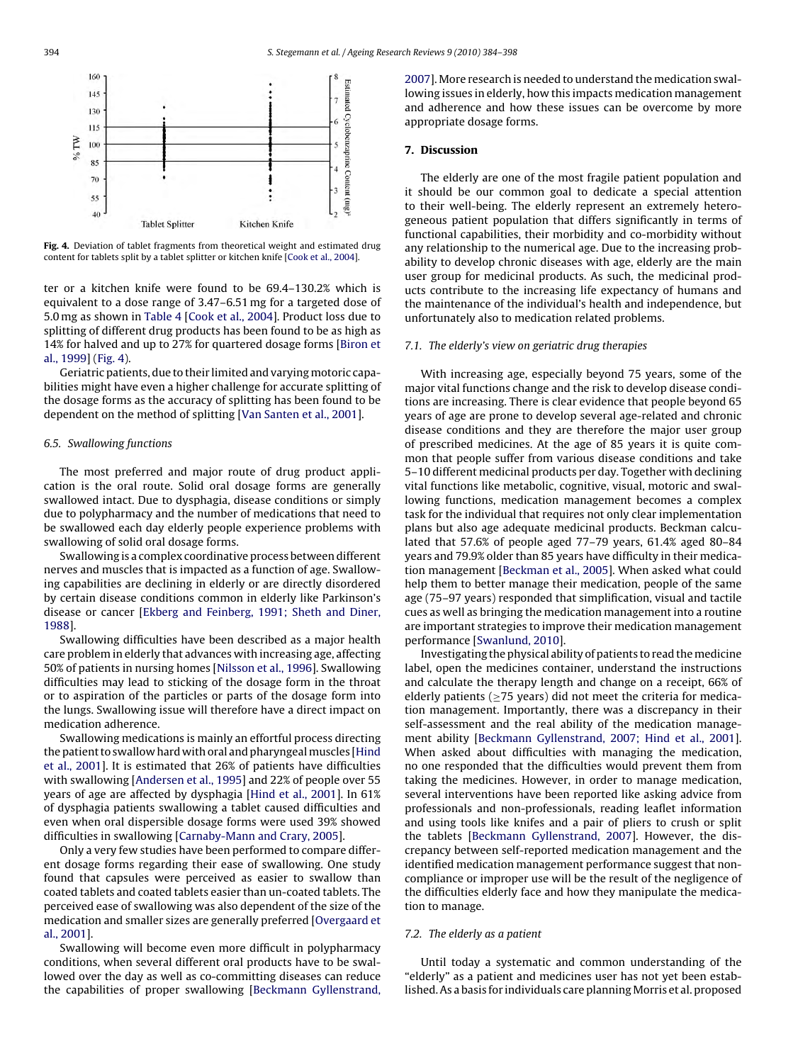

**Fig. 4.** Deviation of tablet fragments from theoretical weight and estimated drug content for tablets split by a tablet splitter or kitchen knife [[Cook et al., 2004\].](#page-12-0)

ter or a kitchen knife were found to be 69.4–130.2% which is equivalent to a dose range of 3.47–6.51 mg for a targeted dose of 5.0 mg as shown in [Table 4](#page-7-0) [[Cook et al., 2004\].](#page-12-0) Product loss due to splitting of different drug products has been found to be as high as 14% for halved and up to 27% for quartered dosage forms [\[Biron et](#page-12-0) [al., 1999\] \(](#page-12-0)Fig. 4).

Geriatric patients, due to their limited and varying motoric capabilities might have even a higher challenge for accurate splitting of the dosage forms as the accuracy of splitting has been found to be dependent on the method of splitting [\[Van Santen et al., 2001\].](#page-14-0)

### 6.5. Swallowing functions

The most preferred and major route of drug product application is the oral route. Solid oral dosage forms are generally swallowed intact. Due to dysphagia, disease conditions or simply due to polypharmacy and the number of medications that need to be swallowed each day elderly people experience problems with swallowing of solid oral dosage forms.

Swallowing is a complex coordinative process between different nerves and muscles that is impacted as a function of age. Swallowing capabilities are declining in elderly or are directly disordered by certain disease conditions common in elderly like Parkinson's disease or cancer [[Ekberg and Feinberg, 1991; Sheth and Diner,](#page-12-0) [1988\].](#page-12-0)

Swallowing difficulties have been described as a major health care problem in elderly that advances with increasing age, affecting 50% of patients in nursing homes [[Nilsson et al., 1996\].](#page-13-0) Swallowing difficulties may lead to sticking of the dosage form in the throat or to aspiration of the particles or parts of the dosage form into the lungs. Swallowing issue will therefore have a direct impact on medication adherence.

Swallowing medications is mainly an effortful process directing the patient to swallow hard with oral and pharyngeal muscles [[Hind](#page-13-0) [et al., 2001\].](#page-13-0) It is estimated that 26% of patients have difficulties with swallowing [\[Andersen et al., 1995\] a](#page-12-0)nd 22% of people over 55 years of age are affected by dysphagia [\[Hind et al., 2001\].](#page-13-0) In 61% of dysphagia patients swallowing a tablet caused difficulties and even when oral dispersible dosage forms were used 39% showed difficulties in swallowing [[Carnaby-Mann and Crary, 2005\].](#page-12-0)

Only a very few studies have been performed to compare different dosage forms regarding their ease of swallowing. One study found that capsules were perceived as easier to swallow than coated tablets and coated tablets easier than un-coated tablets. The perceived ease of swallowing was also dependent of the size of the medication and smaller sizes are generally preferred [\[Overgaard et](#page-13-0) [al., 2001\].](#page-13-0)

Swallowing will become even more difficult in polypharmacy conditions, when several different oral products have to be swallowed over the day as well as co-committing diseases can reduce the capabilities of proper swallowing [\[Beckmann Gyllenstrand,](#page-12-0) [2007\].](#page-12-0) More research is needed to understand the medication swallowing issues in elderly, how this impacts medication management and adherence and how these issues can be overcome by more appropriate dosage forms.

### **7. Discussion**

The elderly are one of the most fragile patient population and it should be our common goal to dedicate a special attention to their well-being. The elderly represent an extremely heterogeneous patient population that differs significantly in terms of functional capabilities, their morbidity and co-morbidity without any relationship to the numerical age. Due to the increasing probability to develop chronic diseases with age, elderly are the main user group for medicinal products. As such, the medicinal products contribute to the increasing life expectancy of humans and the maintenance of the individual's health and independence, but unfortunately also to medication related problems.

#### 7.1. The elderly's view on geriatric drug therapies

With increasing age, especially beyond 75 years, some of the major vital functions change and the risk to develop disease conditions are increasing. There is clear evidence that people beyond 65 years of age are prone to develop several age-related and chronic disease conditions and they are therefore the major user group of prescribed medicines. At the age of 85 years it is quite common that people suffer from various disease conditions and take 5–10 different medicinal products per day. Together with declining vital functions like metabolic, cognitive, visual, motoric and swallowing functions, medication management becomes a complex task for the individual that requires not only clear implementation plans but also age adequate medicinal products. Beckman calculated that 57.6% of people aged 77–79 years, 61.4% aged 80–84 years and 79.9% older than 85 years have difficulty in their medication management [\[Beckman et al., 2005\].](#page-12-0) When asked what could help them to better manage their medication, people of the same age (75–97 years) responded that simplification, visual and tactile cues as well as bringing the medication management into a routine are important strategies to improve their medication management performance [\[Swanlund, 2010\].](#page-13-0)

Investigating the physical ability of patients to read themedicine label, open the medicines container, understand the instructions and calculate the therapy length and change on a receipt, 66% of elderly patients ( $\geq$ 75 years) did not meet the criteria for medication management. Importantly, there was a discrepancy in their self-assessment and the real ability of the medication management ability [\[Beckmann Gyllenstrand, 2007; Hind et al., 2001\].](#page-12-0) When asked about difficulties with managing the medication, no one responded that the difficulties would prevent them from taking the medicines. However, in order to manage medication, several interventions have been reported like asking advice from professionals and non-professionals, reading leaflet information and using tools like knifes and a pair of pliers to crush or split the tablets [[Beckmann Gyllenstrand, 2007\].](#page-12-0) However, the discrepancy between self-reported medication management and the identified medication management performance suggest that noncompliance or improper use will be the result of the negligence of the difficulties elderly face and how they manipulate the medication to manage.

#### 7.2. The elderly as a patient

Until today a systematic and common understanding of the "elderly" as a patient and medicines user has not yet been established. As a basis for individuals care planningMorris et al. proposed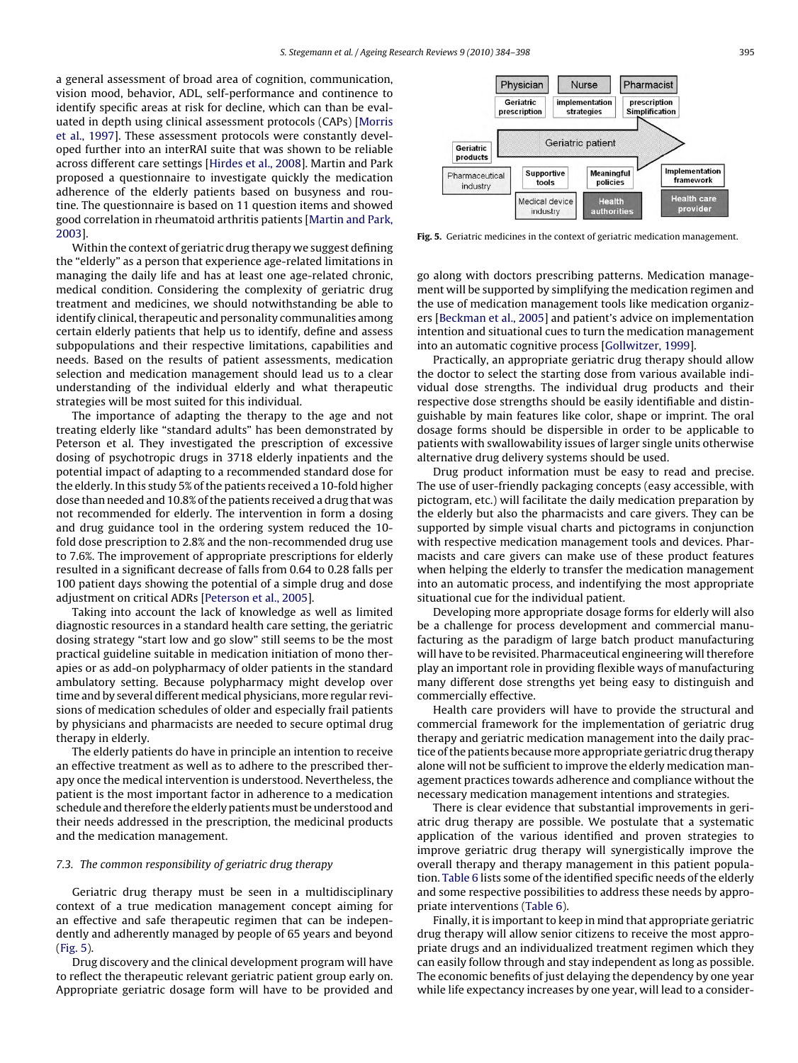a general assessment of broad area of cognition, communication, vision mood, behavior, ADL, self-performance and continence to identify specific areas at risk for decline, which can than be evaluated in depth using clinical assessment protocols (CAPs) [\[Morris](#page-13-0) [et al., 1997\].](#page-13-0) These assessment protocols were constantly developed further into an interRAI suite that was shown to be reliable across different care settings [\[Hirdes et al., 2008\].](#page-13-0) Martin and Park proposed a questionnaire to investigate quickly the medication adherence of the elderly patients based on busyness and routine. The questionnaire is based on 11 question items and showed good correlation in rheumatoid arthritis patients [[Martin and Park,](#page-13-0) [2003\].](#page-13-0)

Within the context of geriatric drug therapy we suggest defining the "elderly" as a person that experience age-related limitations in managing the daily life and has at least one age-related chronic, medical condition. Considering the complexity of geriatric drug treatment and medicines, we should notwithstanding be able to identify clinical, therapeutic and personality communalities among certain elderly patients that help us to identify, define and assess subpopulations and their respective limitations, capabilities and needs. Based on the results of patient assessments, medication selection and medication management should lead us to a clear understanding of the individual elderly and what therapeutic strategies will be most suited for this individual.

The importance of adapting the therapy to the age and not treating elderly like "standard adults" has been demonstrated by Peterson et al. They investigated the prescription of excessive dosing of psychotropic drugs in 3718 elderly inpatients and the potential impact of adapting to a recommended standard dose for the elderly. In this study 5% of the patients received a 10-fold higher dose than needed and 10.8% of the patients received a drug that was not recommended for elderly. The intervention in form a dosing and drug guidance tool in the ordering system reduced the 10 fold dose prescription to 2.8% and the non-recommended drug use to 7.6%. The improvement of appropriate prescriptions for elderly resulted in a significant decrease of falls from 0.64 to 0.28 falls per 100 patient days showing the potential of a simple drug and dose adjustment on critical ADRs [\[Peterson et al., 2005\].](#page-13-0)

Taking into account the lack of knowledge as well as limited diagnostic resources in a standard health care setting, the geriatric dosing strategy "start low and go slow" still seems to be the most practical guideline suitable in medication initiation of mono therapies or as add-on polypharmacy of older patients in the standard ambulatory setting. Because polypharmacy might develop over time and by several different medical physicians, more regular revisions of medication schedules of older and especially frail patients by physicians and pharmacists are needed to secure optimal drug therapy in elderly.

The elderly patients do have in principle an intention to receive an effective treatment as well as to adhere to the prescribed therapy once the medical intervention is understood. Nevertheless, the patient is the most important factor in adherence to a medication schedule and therefore the elderly patients must be understood and their needs addressed in the prescription, the medicinal products and the medication management.

#### 7.3. The common responsibility of geriatric drug therapy

Geriatric drug therapy must be seen in a multidisciplinary context of a true medication management concept aiming for an effective and safe therapeutic regimen that can be independently and adherently managed by people of 65 years and beyond (Fig. 5).

Drug discovery and the clinical development program will have to reflect the therapeutic relevant geriatric patient group early on. Appropriate geriatric dosage form will have to be provided and



**Fig. 5.** Geriatric medicines in the context of geriatric medication management.

go along with doctors prescribing patterns. Medication management will be supported by simplifying the medication regimen and the use of medication management tools like medication organizers [[Beckman et al., 2005\]](#page-12-0) and patient's advice on implementation intention and situational cues to turn the medication management into an automatic cognitive process [[Gollwitzer, 1999\].](#page-12-0)

Practically, an appropriate geriatric drug therapy should allow the doctor to select the starting dose from various available individual dose strengths. The individual drug products and their respective dose strengths should be easily identifiable and distinguishable by main features like color, shape or imprint. The oral dosage forms should be dispersible in order to be applicable to patients with swallowability issues of larger single units otherwise alternative drug delivery systems should be used.

Drug product information must be easy to read and precise. The use of user-friendly packaging concepts (easy accessible, with pictogram, etc.) will facilitate the daily medication preparation by the elderly but also the pharmacists and care givers. They can be supported by simple visual charts and pictograms in conjunction with respective medication management tools and devices. Pharmacists and care givers can make use of these product features when helping the elderly to transfer the medication management into an automatic process, and indentifying the most appropriate situational cue for the individual patient.

Developing more appropriate dosage forms for elderly will also be a challenge for process development and commercial manufacturing as the paradigm of large batch product manufacturing will have to be revisited. Pharmaceutical engineering will therefore play an important role in providing flexible ways of manufacturing many different dose strengths yet being easy to distinguish and commercially effective.

Health care providers will have to provide the structural and commercial framework for the implementation of geriatric drug therapy and geriatric medication management into the daily practice of the patients because more appropriate geriatric drug therapy alone will not be sufficient to improve the elderly medication management practices towards adherence and compliance without the necessary medication management intentions and strategies.

There is clear evidence that substantial improvements in geriatric drug therapy are possible. We postulate that a systematic application of the various identified and proven strategies to improve geriatric drug therapy will synergistically improve the overall therapy and therapy management in this patient population. [Table 6](#page-12-0) lists some of the identified specific needs of the elderly and some respective possibilities to address these needs by appropriate interventions [\(Table 6\).](#page-12-0)

Finally, it is important to keep in mind that appropriate geriatric drug therapy will allow senior citizens to receive the most appropriate drugs and an individualized treatment regimen which they can easily follow through and stay independent as long as possible. The economic benefits of just delaying the dependency by one year while life expectancy increases by one year, will lead to a consider-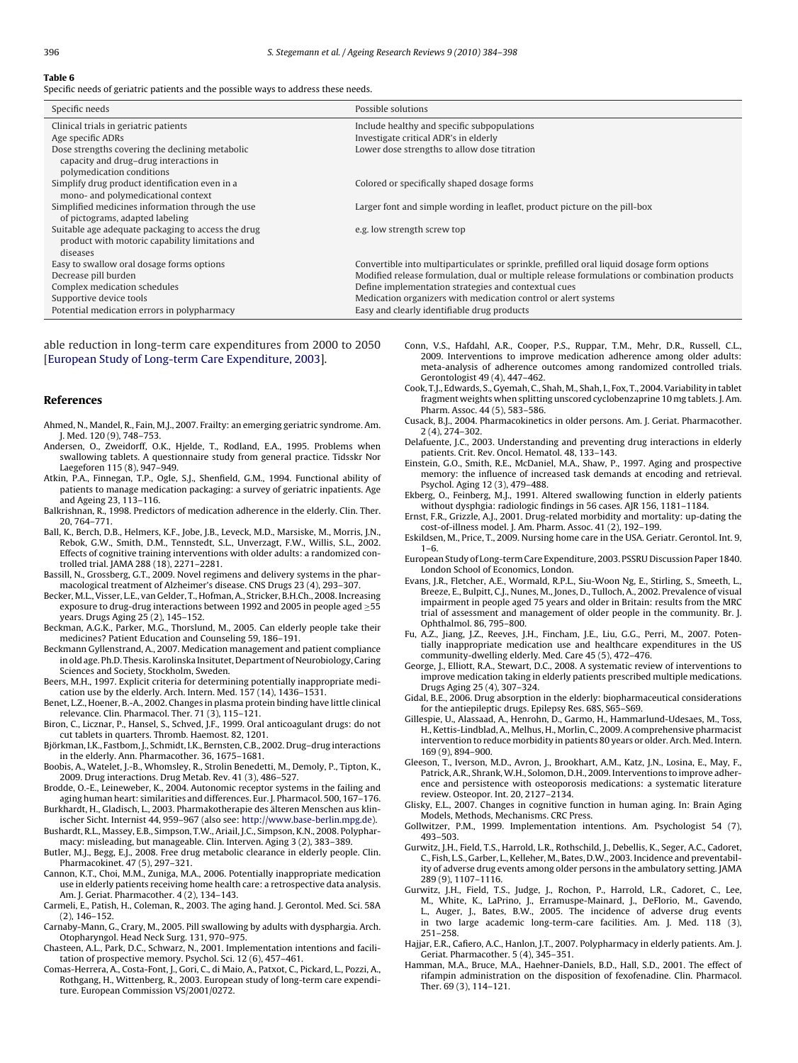# <span id="page-12-0"></span>**Table 6**

Specific needs of geriatric patients and the possible ways to address these needs.

| Include healthy and specific subpopulations<br>Clinical trials in geriatric patients<br>Investigate critical ADR's in elderly<br>Age specific ADRs |
|----------------------------------------------------------------------------------------------------------------------------------------------------|
|                                                                                                                                                    |
|                                                                                                                                                    |
| Lower dose strengths to allow dose titration<br>Dose strengths covering the declining metabolic                                                    |
| capacity and drug-drug interactions in                                                                                                             |
| polymedication conditions                                                                                                                          |
| Simplify drug product identification even in a<br>Colored or specifically shaped dosage forms                                                      |
| mono- and polymedicational context                                                                                                                 |
| Simplified medicines information through the use<br>Larger font and simple wording in leaflet, product picture on the pill-box                     |
| of pictograms, adapted labeling                                                                                                                    |
| Suitable age adequate packaging to access the drug<br>e.g. low strength screw top                                                                  |
| product with motoric capability limitations and                                                                                                    |
| diseases                                                                                                                                           |
| Easy to swallow oral dosage forms options<br>Convertible into multiparticulates or sprinkle, prefilled oral liquid dosage form options             |
| Modified release formulation, dual or multiple release formulations or combination products<br>Decrease pill burden                                |
| Define implementation strategies and contextual cues<br>Complex medication schedules                                                               |
| Medication organizers with medication control or alert systems<br>Supportive device tools                                                          |
| Easy and clearly identifiable drug products<br>Potential medication errors in polypharmacy                                                         |

able reduction in long-term care expenditures from 2000 to 2050 [European Study of Long-term Care Expenditure, 2003].

#### **References**

- Ahmed, N., Mandel, R., Fain, M.J., 2007. Frailty: an emerging geriatric syndrome. Am. J. Med. 120 (9), 748–753.
- Andersen, O., Zweidorff, O.K., Hjelde, T., Rodland, E.A., 1995. Problems when swallowing tablets. A questionnaire study from general practice. Tidsskr Nor Laegeforen 115 (8), 947–949.
- Atkin, P.A., Finnegan, T.P., Ogle, S.J., Shenfield, G.M., 1994. Functional ability of patients to manage medication packaging: a survey of geriatric inpatients. Age and Ageing 23, 113-116.
- Balkrishnan, R., 1998. Predictors of medication adherence in the elderly. Clin. Ther. 20, 764–771.
- Ball, K., Berch, D.B., Helmers, K.F., Jobe, J.B., Leveck, M.D., Marsiske, M., Morris, J.N., Rebok, G.W., Smith, D.M., Tennstedt, S.L., Unverzagt, F.W., Willis, S.L., 2002. Effects of cognitive training interventions with older adults: a randomized controlled trial. JAMA 288 (18), 2271–2281.
- Bassill, N., Grossberg, G.T., 2009. Novel regimens and delivery systems in the pharmacological treatment of Alzheimer's disease. CNS Drugs 23 (4), 293–307.
- Becker, M.L., Visser, L.E., van Gelder, T., Hofman, A., Stricker, B.H.Ch., 2008. Increasing exposure to drug-drug interactions between 1992 and 2005 in people aged ≥55 years. Drugs Aging 25 (2), 145–152.
- Beckman, A.G.K., Parker, M.G., Thorslund, M., 2005. Can elderly people take their medicines? Patient Education and Counseling 59, 186–191.
- Beckmann Gyllenstrand, A., 2007. Medication management and patient compliance in old age. Ph.D. Thesis. Karolinska Insitutet, Department of Neurobiology, Caring Sciences and Society, Stockholm, Sweden.
- Beers, M.H., 1997. Explicit criteria for determining potentially inappropriate medication use by the elderly. Arch. Intern. Med. 157 (14), 1436–1531.
- Benet, L.Z., Hoener, B.-A., 2002. Changes in plasma protein binding have little clinical relevance. Clin. Pharmacol. Ther. 71 (3), 115–121.
- Biron, C., Licznar, P., Hansel, S., Schved, J.F., 1999. Oral anticoagulant drugs: do not cut tablets in quarters. Thromb. Haemost. 82, 1201.
- Björkman, I.K., Fastbom, J., Schmidt, I.K., Bernsten, C.B., 2002. Drug–drug interactions in the elderly. Ann. Pharmacother. 36, 1675–1681.
- Boobis, A., Watelet, J.-B., Whomsley, R., Strolin Benedetti, M., Demoly, P., Tipton, K., 2009. Drug interactions. Drug Metab. Rev. 41 (3), 486–527.
- Brodde, O.-E., Leineweber, K., 2004. Autonomic receptor systems in the failing and aging human heart: similarities and differences. Eur. J. Pharmacol. 500, 167–176.
- Burkhardt, H., Gladisch, L., 2003. Pharmakotherapie des älteren Menschen aus klinischer Sicht. Internist 44, 959–967 (also see: [http://www.base-berlin.mpg.de\)](http://www.base-berlin.mpg.de/). Bushardt, R.L., Massey, E.B., Simpson, T.W., Ariail, J.C., Simpson, K.N., 2008. Polyphar-
- macy: misleading, but manageable. Clin. Interven. Aging 3 (2), 383–389.
- Butler, M.J., Begg, E.J., 2008. Free drug metabolic clearance in elderly people. Clin. Pharmacokinet. 47 (5), 297–321.
- Cannon, K.T., Choi, M.M., Zuniga, M.A., 2006. Potentially inappropriate medication use in elderly patients receiving home health care: a retrospective data analysis. Am. J. Geriat. Pharmacother. 4 (2), 134–143.
- Carmeli, E., Patish, H., Coleman, R., 2003. The aging hand. J. Gerontol. Med. Sci. 58A (2), 146–152.
- Carnaby-Mann, G., Crary, M., 2005. Pill swallowing by adults with dysphargia. Arch. Otopharyngol. Head Neck Surg. 131, 970–975.
- Chasteen, A.L., Park, D.C., Schwarz, N., 2001. Implementation intentions and facilitation of prospective memory. Psychol. Sci. 12 (6), 457–461.
- Comas-Herrera, A., Costa-Font, J., Gori, C., di Maio, A., Patxot, C., Pickard, L., Pozzi, A., Rothgang, H., Wittenberg, R., 2003. European study of long-term care expenditure. European Commission VS/2001/0272.
- Conn, V.S., Hafdahl, A.R., Cooper, P.S., Ruppar, T.M., Mehr, D.R., Russell, C.L., 2009. Interventions to improve medication adherence among older adults: meta-analysis of adherence outcomes among randomized controlled trials. Gerontologist 49 (4), 447–462.
- Cook, T.J., Edwards, S., Gyemah, C., Shah, M., Shah, I., Fox, T., 2004. Variability in tablet fragment weights when splitting unscored cyclobenzaprine 10 mg tablets. J. Am. Pharm. Assoc. 44 (5), 583–586.
- Cusack, B.J., 2004. Pharmacokinetics in older persons. Am. J. Geriat. Pharmacother. 2 (4), 274–302.
- Delafuente, J.C., 2003. Understanding and preventing drug interactions in elderly patients. Crit. Rev. Oncol. Hematol. 48, 133–143.
- Einstein, G.O., Smith, R.E., McDaniel, M.A., Shaw, P., 1997. Aging and prospective memory: the influence of increased task demands at encoding and retrieval. Psychol. Aging 12 (3), 479–488.
- Ekberg, O., Feinberg, M.J., 1991. Altered swallowing function in elderly patients without dysphgia: radiologic findings in 56 cases. AJR 156, 1181–1184.
- Ernst, F.R., Grizzle, A.J., 2001. Drug-related morbidity and mortality: up-dating the cost-of-illness model. J. Am. Pharm. Assoc. 41 (2), 192–199.
- Eskildsen, M., Price, T., 2009. Nursing home care in the USA. Geriatr. Gerontol. Int. 9, 1–6.
- European Study of Long-term Care Expenditure, 2003. PSSRU Discussion Paper 1840. London School of Economics, London.
- Evans, J.R., Fletcher, A.E., Wormald, R.P.L., Siu-Woon Ng, E., Stirling, S., Smeeth, L., Breeze, E., Bulpitt, C.J., Nunes, M., Jones, D., Tulloch, A., 2002. Prevalence of visual impairment in people aged 75 years and older in Britain: results from the MRC trial of assessment and management of older people in the community. Br. J. Ophthalmol. 86, 795–800.
- Fu, A.Z., Jiang, J.Z., Reeves, J.H., Fincham, J.E., Liu, G.G., Perri, M., 2007. Potentially inappropriate medication use and healthcare expenditures in the US community-dwelling elderly. Med. Care 45 (5), 472–476.
- George, J., Elliott, R.A., Stewart, D.C., 2008. A systematic review of interventions to improve medication taking in elderly patients prescribed multiple medications. Drugs Aging 25 (4), 307–324.
- Gidal, B.E., 2006. Drug absorption in the elderly: biopharmaceutical considerations for the antiepileptic drugs. Epilepsy Res. 68S, S65–S69.
- Gillespie, U., Alassaad, A., Henrohn, D., Garmo, H., Hammarlund-Udesaes, M., Toss, H., Kettis-Lindblad, A., Melhus, H., Morlin, C., 2009. A comprehensive pharmacist intervention to reduce morbidity in patients 80 years or older. Arch. Med. Intern. 169 (9), 894–900.
- Gleeson, T., Iverson, M.D., Avron, J., Brookhart, A.M., Katz, J.N., Losina, E., May, F., Patrick, A.R., Shrank, W.H., Solomon, D.H., 2009. Interventions to improve adherence and persistence with osteoporosis medications: a systematic literature review. Osteopor. Int. 20, 2127–2134.
- Glisky, E.L., 2007. Changes in cognitive function in human aging. In: Brain Aging Models, Methods, Mechanisms. CRC Press.
- Gollwitzer, P.M., 1999. Implementation intentions. Am. Psychologist 54 (7), 493–503.
- Gurwitz, J.H., Field, T.S., Harrold, L.R., Rothschild, J., Debellis, K., Seger, A.C., Cadoret, C., Fish, L.S., Garber, L., Kelleher, M., Bates, D.W., 2003. Incidence and preventability of adverse drug events among older persons in the ambulatory setting. JAMA 289 (9), 1107–1116.
- Gurwitz, J.H., Field, T.S., Judge, J., Rochon, P., Harrold, L.R., Cadoret, C., Lee, M., White, K., LaPrino, J., Erramuspe-Mainard, J., DeFlorio, M., Gavendo, L., Auger, J., Bates, B.W., 2005. The incidence of adverse drug events in two large academic long-term-care facilities. Am. J. Med. 118 (3), 251–258.
- Hajjar, E.R., Cafiero, A.C., Hanlon, J.T., 2007. Polypharmacy in elderly patients. Am. J. Geriat. Pharmacother. 5 (4), 345–351.
- Hamman, M.A., Bruce, M.A., Haehner-Daniels, B.D., Hall, S.D., 2001. The effect of rifampin administration on the disposition of fexofenadine. Clin. Pharmacol. Ther. 69 (3), 114–121.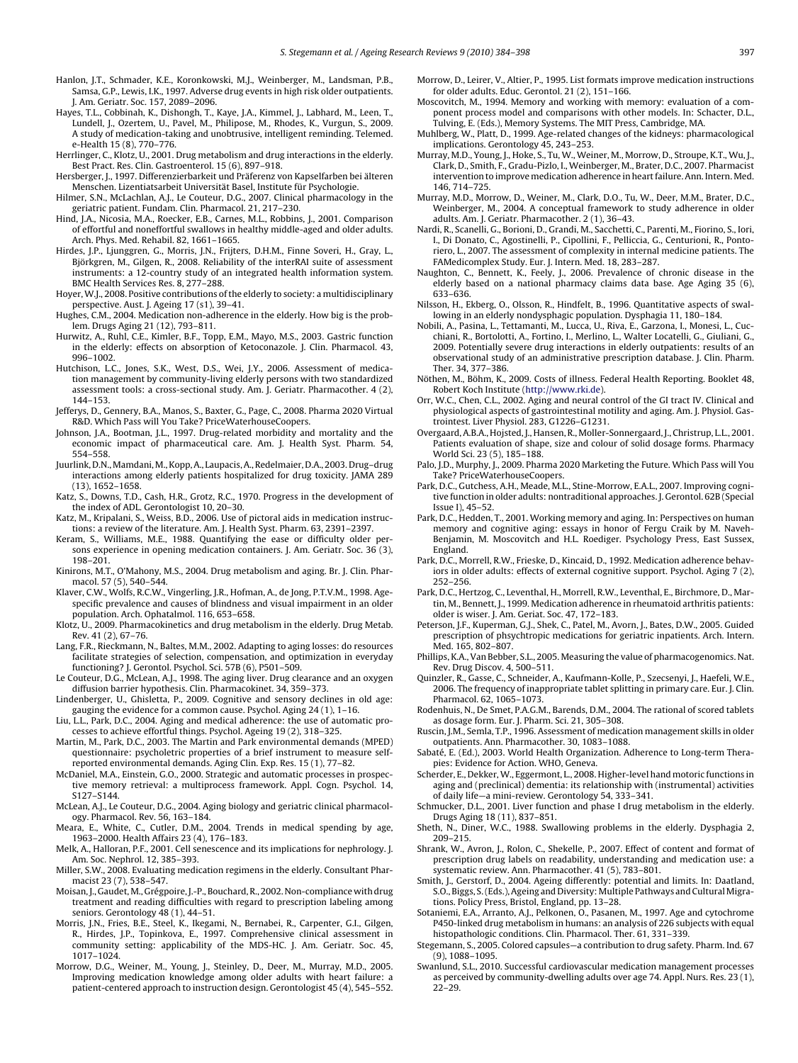- <span id="page-13-0"></span>Hanlon, J.T., Schmader, K.E., Koronkowski, M.J., Weinberger, M., Landsman, P.B., Samsa, G.P., Lewis, I.K., 1997. Adverse drug events in high risk older outpatients. J. Am. Geriatr. Soc. 157, 2089–2096.
- Hayes, T.L., Cobbinah, K., Dishongh, T., Kaye, J.A., Kimmel, J., Labhard, M., Leen, T., Lundell, J., Ozertem, U., Pavel, M., Philipose, M., Rhodes, K., Vurgun, S., 2009. A study of medication-taking and unobtrusive, intelligent reminding. Telemed. e-Health 15 (8), 770–776.
- Herrlinger, C., Klotz, U., 2001. Drug metabolism and drug interactions in the elderly. Best Pract. Res. Clin. Gastroenterol. 15 (6), 897–918.
- Hersberger, J., 1997. Differenzierbarkeit und Präferenz von Kapselfarben bei älteren Menschen. Lizentiatsarbeit Universität Basel, Institute für Psychologie.
- Hilmer, S.N., McLachlan, A.J., Le Couteur, D.G., 2007. Clinical pharmacology in the geriatric patient. Fundam. Clin. Pharmacol. 21, 217–230.
- Hind, J.A., Nicosia, M.A., Roecker, E.B., Carnes, M.L., Robbins, J., 2001. Comparison of effortful and noneffortful swallows in healthy middle-aged and older adults. Arch. Phys. Med. Rehabil. 82, 1661–1665.
- Hirdes, J.P., Ljunggren, G., Morris, J.N., Frijters, D.H.M., Finne Soveri, H., Gray, L., Björkgren, M., Gilgen, R., 2008. Reliability of the interRAI suite of assessment instruments: a 12-country study of an integrated health information system. BMC Health Services Res. 8, 277–288.
- Hoyer, W.J., 2008. Positive contributions of the elderly to society: a multidisciplinary perspective. Aust. J. Ageing 17 (s1), 39–41.
- Hughes, C.M., 2004. Medication non-adherence in the elderly. How big is the problem. Drugs Aging 21 (12), 793–811.
- Hurwitz, A., Ruhl, C.E., Kimler, B.F., Topp, E.M., Mayo, M.S., 2003. Gastric function in the elderly: effects on absorption of Ketoconazole. J. Clin. Pharmacol. 43, 996–1002.
- Hutchison, L.C., Jones, S.K., West, D.S., Wei, J.Y., 2006. Assessment of medication management by community-living elderly persons with two standardized assessment tools: a cross-sectional study. Am. J. Geriatr. Pharmacother. 4 (2), 144–153.
- Jefferys, D., Gennery, B.A., Manos, S., Baxter, G., Page, C., 2008. Pharma 2020 Virtual R&D. Which Pass will You Take? PriceWaterhouseCoopers.
- Johnson, J.A., Bootman, J.L., 1997. Drug-related morbidity and mortality and the economic impact of pharmaceutical care. Am. J. Health Syst. Pharm. 54, 554–558.
- Juurlink, D.N.,Mamdani,M., Kopp, A., Laupacis, A., Redelmaier, D.A., 2003. Drug–drug interactions among elderly patients hospitalized for drug toxicity. JAMA 289 (13), 1652–1658.
- Katz, S., Downs, T.D., Cash, H.R., Grotz, R.C., 1970. Progress in the development of the index of ADL. Gerontologist 10, 20–30.
- Katz, M., Kripalani, S., Weiss, B.D., 2006. Use of pictoral aids in medication instructions: a review of the literature. Am. J. Health Syst. Pharm. 63, 2391–2397.
- Keram, S., Williams, M.E., 1988. Quantifying the ease or difficulty older persons experience in opening medication containers. J. Am. Geriatr. Soc. 36 (3), 198–201.
- Kinirons, M.T., O'Mahony, M.S., 2004. Drug metabolism and aging. Br. J. Clin. Pharmacol. 57 (5), 540–544.
- Klaver, C.W., Wolfs, R.C.W., Vingerling, J.R., Hofman, A., de Jong, P.T.V.M., 1998. Agespecific prevalence and causes of blindness and visual impairment in an older population. Arch. Ophatalmol. 116, 653–658.
- Klotz, U., 2009. Pharmacokinetics and drug metabolism in the elderly. Drug Metab. Rev. 41 (2), 67–76.
- Lang, F.R., Rieckmann, N., Baltes, M.M., 2002. Adapting to aging losses: do resources facilitate strategies of selection, compensation, and optimization in everyday functioning? J. Gerontol. Psychol. Sci. 57B (6), P501–509.
- Le Couteur, D.G., McLean, A.J., 1998. The aging liver. Drug clearance and an oxygen diffusion barrier hypothesis. Clin. Pharmacokinet. 34, 359–373.
- Lindenberger, U., Ghisletta, P., 2009. Cognitive and sensory declines in old age: gauging the evidence for a common cause. Psychol. Aging 24 (1), 1–16.
- Liu, L.L., Park, D.C., 2004. Aging and medical adherence: the use of automatic processes to achieve effortful things. Psychol. Ageing 19 (2), 318–325.
- Martin, M., Park, D.C., 2003. The Martin and Park environmental demands (MPED) questionnaire: psycholetric properties of a brief instrument to measure selfreported environmental demands. Aging Clin. Exp. Res. 15 (1), 77–82.
- McDaniel, M.A., Einstein, G.O., 2000. Strategic and automatic processes in prospective memory retrieval: a multiprocess framework. Appl. Cogn. Psychol. 14, S127–S144.
- McLean, A.J., Le Couteur, D.G., 2004. Aging biology and geriatric clinical pharmacology. Pharmacol. Rev. 56, 163–184.
- Meara, E., White, C., Cutler, D.M., 2004. Trends in medical spending by age, 1963–2000. Health Affairs 23 (4), 176–183.
- Melk, A., Halloran, P.F., 2001. Cell senescence and its implications for nephrology. J. Am. Soc. Nephrol. 12, 385–393.
- Miller, S.W., 2008. Evaluating medication regimens in the elderly. Consultant Pharmacist 23 (7), 538–547.
- Moisan, J., Gaudet, M., Grégpoire, J.-P., Bouchard, R., 2002. Non-compliance with drug treatment and reading difficulties with regard to prescription labeling among seniors. Gerontology 48 (1), 44–51.
- Morris, J.N., Fries, B.E., Steel, K., Ikegami, N., Bernabei, R., Carpenter, G.I., Gilgen, R., Hirdes, J.P., Topinkova, E., 1997. Comprehensive clinical assessment in community setting: applicability of the MDS-HC. J. Am. Geriatr. Soc. 45, 1017–1024.
- Morrow, D.G., Weiner, M., Young, J., Steinley, D., Deer, M., Murray, M.D., 2005. Improving medication knowledge among older adults with heart failure: a patient-centered approach to instruction design. Gerontologist 45 (4), 545–552.
- Morrow, D., Leirer, V., Altier, P., 1995. List formats improve medication instructions for older adults. Educ. Gerontol. 21 (2), 151–166.
- Moscovitch, M., 1994. Memory and working with memory: evaluation of a component process model and comparisons with other models. In: Schacter, D.L., Tulving, E. (Eds.), Memory Systems. The MIT Press, Cambridge, MA.
- Muhlberg, W., Platt, D., 1999. Age-related changes of the kidneys: pharmacological implications. Gerontology 45, 243–253.
- Murray, M.D., Young, J., Hoke, S., Tu, W., Weiner, M., Morrow, D., Stroupe, K.T., Wu, J., Clark, D., Smith, F., Gradu-Pizlo, I., Weinberger, M., Brater, D.C., 2007. Pharmacist intervention to improve medication adherence in heart failure. Ann. Intern. Med. 146, 714–725.
- Murray, M.D., Morrow, D., Weiner, M., Clark, D.O., Tu, W., Deer, M.M., Brater, D.C., Weinberger, M., 2004. A conceptual framework to study adherence in older adults. Am. J. Geriatr. Pharmacother. 2 (1), 36–43.
- Nardi, R., Scanelli, G., Borioni, D., Grandi, M., Sacchetti, C., Parenti, M., Fiorino, S., Iori, I., Di Donato, C., Agostinelli, P., Cipollini, F., Pelliccia, G., Centurioni, R., Pontoriero, L., 2007. The assessment of complexity in internal medicine patients. The FAMedicomplex Study. Eur. J. Intern. Med. 18, 283–287.
- Naughton, C., Bennett, K., Feely, J., 2006. Prevalence of chronic disease in the elderly based on a national pharmacy claims data base. Age Aging 35 (6), 633–636.
- Nilsson, H., Ekberg, O., Olsson, R., Hindfelt, B., 1996. Quantitative aspects of swallowing in an elderly nondysphagic population. Dysphagia 11, 180–184.
- Nobili, A., Pasina, L., Tettamanti, M., Lucca, U., Riva, E., Garzona, I., Monesi, L., Cucchiani, R., Bortolotti, A., Fortino, I., Merlino, L., Walter Locatelli, G., Giuliani, G., 2009. Potentially severe drug interactions in elderly outpatients: results of an observational study of an administrative prescription database. J. Clin. Pharm. Ther. 34, 377–386.
- Nöthen, M., Böhm, K., 2009. Costs of illness. Federal Health Reporting. Booklet 48, Robert Koch Institute [\(http://www.rki.de](http://www.rki.de/)).
- Orr, W.C., Chen, C.L., 2002. Aging and neural control of the GI tract IV. Clinical and physiological aspects of gastrointestinal motility and aging. Am. J. Physiol. Gastrointest. Liver Physiol. 283, G1226–G1231.
- Overgaard, A.B.A., Hojsted, J., Hansen, R., Moller-Sonnergaard, J., Christrup, L.L., 2001. Patients evaluation of shape, size and colour of solid dosage forms. Pharmacy World Sci. 23 (5), 185–188.
- Palo, J.D., Murphy, J., 2009. Pharma 2020 Marketing the Future. Which Pass will You Take? PriceWaterhouseCoopers.
- Park, D.C., Gutchess, A.H., Meade, M.L., Stine-Morrow, E.A.L., 2007. Improving cognitive function in older adults: nontraditional approaches. J. Gerontol. 62B (Special Issue I), 45–52.
- Park, D.C., Hedden, T., 2001. Working memory and aging. In: Perspectives on human memory and cognitive aging: essays in honor of Fergu Craik by M. Naveh-Benjamin, M. Moscovitch and H.L. Roediger. Psychology Press, East Sussex, England.
- Park, D.C., Morrell, R.W., Frieske, D., Kincaid, D., 1992. Medication adherence behaviors in older adults: effects of external cognitive support. Psychol. Aging 7 (2), 252–256.
- Park, D.C., Hertzog, C., Leventhal, H., Morrell, R.W., Leventhal, E., Birchmore, D., Martin, M., Bennett, J., 1999. Medication adherence in rheumatoid arthritis patients: older is wiser. J. Am. Geriat. Soc. 47, 172–183.
- Peterson, J.F., Kuperman, G.J., Shek, C., Patel, M., Avorn, J., Bates, D.W., 2005. Guided prescription of phsychtropic medications for geriatric inpatients. Arch. Intern. Med. 165, 802–807.
- Phillips, K.A., Van Bebber, S.L., 2005. Measuring the value of pharmacogenomics. Nat. Rev. Drug Discov. 4, 500–511.
- Quinzler, R., Gasse, C., Schneider, A., Kaufmann-Kolle, P., Szecsenyi, J., Haefeli, W.E., 2006. The frequency of inappropriate tablet splitting in primary care. Eur. J. Clin. Pharmacol. 62, 1065–1073.
- Rodenhuis, N., De Smet, P.A.G.M., Barends, D.M., 2004. The rational of scored tablets as dosage form. Eur. J. Pharm. Sci. 21, 305–308.
- Ruscin, J.M., Semla, T.P., 1996. Assessment of medication management skills in older outpatients. Ann. Pharmacother. 30, 1083–1088.
- Sabaté, E. (Ed.), 2003. World Health Organization. Adherence to Long-term Therapies: Evidence for Action. WHO, Geneva.
- Scherder, E., Dekker,W., Eggermont, L., 2008. Higher-level hand motoric functions in aging and (preclinical) dementia: its relationship with (instrumental) activities of daily life—a mini-review. Gerontology 54, 333–341.
- Schmucker, D.L., 2001. Liver function and phase I drug metabolism in the elderly. Drugs Aging 18 (11), 837–851.
- Sheth, N., Diner, W.C., 1988. Swallowing problems in the elderly. Dysphagia 2, 209–215.
- Shrank, W., Avron, J., Rolon, C., Shekelle, P., 2007. Effect of content and format of prescription drug labels on readability, understanding and medication use: a systematic review. Ann. Pharmacother. 41 (5), 783–801.
- Smith, J., Gerstorf, D., 2004. Ageing differently: potential and limits. In: Daatland, S.O., Biggs, S. (Eds.), Ageing and Diversity: Multiple Pathways and Cultural Migrations. Policy Press, Bristol, England, pp. 13–28.
- Sotaniemi, E.A., Arranto, A.J., Pelkonen, O., Pasanen, M., 1997. Age and cytochrome P450-linked drug metabolism in humans: an analysis of 226 subjects with equal histopathologic conditions. Clin. Pharmacol. Ther. 61, 331–339.
- Stegemann, S., 2005. Colored capsules—a contribution to drug safety. Pharm. Ind. 67 (9), 1088–1095.
- Swanlund, S.L., 2010. Successful cardiovascular medication management processes as perceived by community-dwelling adults over age 74. Appl. Nurs. Res. 23 (1), 22–29.